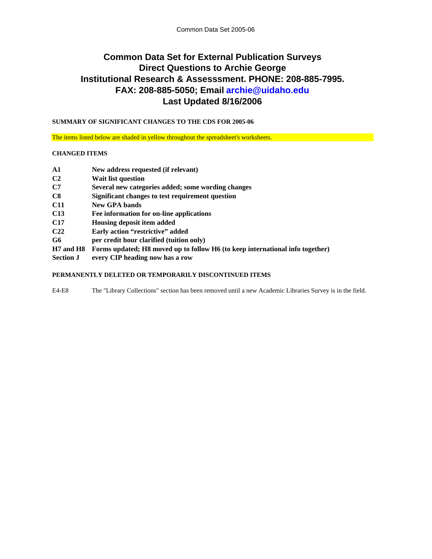# **Last Updated 8/16/2006 Common Data Set for External Publication Surveys Direct Questions to Archie George Institutional Research & Assesssment. PHONE: 208-885-7995. FAX: 208-885-5050; Email archie@uidaho.edu**

**SUMMARY OF SIGNIFICANT CHANGES TO THE CDS FOR 2005-06**

The items listed below are shaded in yellow throughout the spreadsheet's worksheets.

### **CHANGED ITEMS**

| $\mathbf{A1}$    | New address requested (if relevant)                                           |
|------------------|-------------------------------------------------------------------------------|
| C <sub>2</sub>   | <b>Wait list question</b>                                                     |
| C7               | Several new categories added; some wording changes                            |
| $\bf C8$         | Significant changes to test requirement question                              |
| <b>C11</b>       | New GPA bands                                                                 |
| C <sub>13</sub>  | Fee information for on-line applications                                      |
| C <sub>17</sub>  | Housing deposit item added                                                    |
| C <sub>22</sub>  | Early action "restrictive" added                                              |
| G6               | per credit hour clarified (tuition only)                                      |
| H7 and H8        | Forms updated; H8 moved up to follow H6 (to keep international info together) |
| <b>Section J</b> | every CIP heading now has a row                                               |

### **PERMANENTLY DELETED OR TEMPORARILY DISCONTINUED ITEMS**

E4-E8 The "Library Collections" section has been removed until a new Academic Libraries Survey is in the field.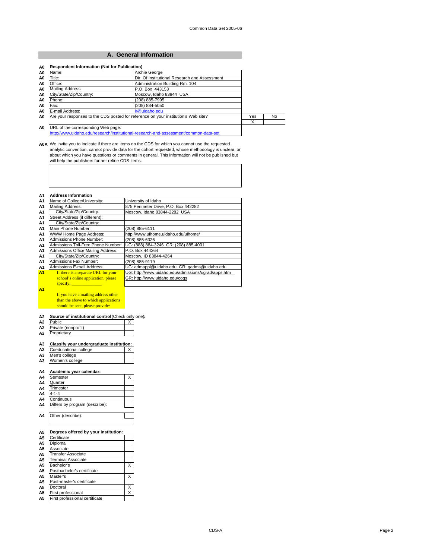### **A. General Information**

| Name:                   | Archie George                                                                      |     |           |
|-------------------------|------------------------------------------------------------------------------------|-----|-----------|
| Title:                  | Dir. Of Institutional Research and Assessment                                      |     |           |
| Office:                 | Administration Building Rm. 104                                                    |     |           |
| Mailing Address:        | P.O. Box 443153                                                                    |     |           |
| City/State/Zip/Country: | Moscow. Idaho 83844 USA                                                            |     |           |
| Phone:                  | (208) 885-7995                                                                     |     |           |
| Fax:                    | (208) 884-5050                                                                     |     |           |
| E-mail Address:         | ir@uidaho.edu                                                                      |     |           |
|                         | Are your responses to the CDS posted for reference on your institution's Web site? | Yes | <b>No</b> |
|                         |                                                                                    | X   |           |

A0A We invite you to indicate if there are items on the CDS for which you cannot use the requested<br>analytic convention, cannot provide data for the cohort requested, whose methodology is unclear, or<br>about which you have qu

#### **A1 Address Information**

| . .            |                                     |                                                     |
|----------------|-------------------------------------|-----------------------------------------------------|
| A1             | Name of College/University:         | University of Idaho                                 |
| A1             | Mailing Address:                    | 875 Perimeter Drive, P.O. Box 442282                |
| A1             | City/State/Zip/Country:             | Moscow, Idaho 83844-2282 USA                        |
| A1             | Street Address (if different):      |                                                     |
| A1             | City/State/Zip/Country:             |                                                     |
| A1             | Main Phone Number:                  | (208) 885-6111                                      |
| A1             | WWW Home Page Address:              | http://www.uihome.uidaho.edu/uihome/                |
| A1             | Admissions Phone Number:            | (208) 885-6326                                      |
| A1             | Admissions Toll-Free Phone Number:  | UG: (888) 884-3246 GR: (208) 885-4001               |
| A1             | Admissions Office Mailing Address:  | P.O. Box 444264                                     |
| A1             | City/State/Zip/Country:             | Moscow. ID 83844-4264                               |
| A1             | <b>Admissions Fax Number:</b>       | (208) 885-9119                                      |
| А1             | Admissions E-mail Address:          | UG: admappl@uidaho.edu; GR: gadms@uidaho.edu        |
| A <sub>1</sub> | If there is a separate URL for your | UG: http://www.uidaho.edu/admissions/ugrad/apps.htm |
|                | school's online application, please | GR: http://www.uidaho.edu/cogs                      |
|                | $\frac{1}{2}$ specify:              |                                                     |
| A1             |                                     |                                                     |
|                |                                     |                                                     |

If you have a mailing address other than the above to which applications should be sent, please provide:

#### **A2 Source of institutional control** (Check only one)**:**

| A2 | <b>Public</b>       |  |
|----|---------------------|--|
| Α2 | Private (nonprofit) |  |
| Α2 | roprietarv          |  |

#### **A3 Classify your undergraduate institution:**

| A <sub>3</sub> | Coeducational college |  |
|----------------|-----------------------|--|
| A <sub>3</sub> | Men's college         |  |
| A <sub>3</sub> | Women's college       |  |
|                |                       |  |

#### **A4 Academic year calendar:**

| A4             | Semester                       |  |
|----------------|--------------------------------|--|
| A4             | Quarter                        |  |
| A4             | Trimester                      |  |
| A4             | $4 - 1 - 4$                    |  |
| A4             | Continuous                     |  |
| A4             | Differs by program (describe): |  |
|                |                                |  |
| A <sub>4</sub> | Other (describe):              |  |
|                |                                |  |

#### **A5 Degrees offered by your institution:**

| A <sub>5</sub> | Certificate                    |   |
|----------------|--------------------------------|---|
| A <sub>5</sub> | Diploma                        |   |
| A <sub>5</sub> | Associate                      |   |
| A5             | Transfer Associate             |   |
| A5             | Terminal Associate             |   |
| A <sub>5</sub> | Bachelor's                     | x |
| А5             | Postbachelor's certificate     |   |
| А5             | Master's                       | X |
| А5             | Post-master's certificate      |   |
| A5             | Doctoral                       | X |
| A5             | First professional             | X |
| А5             | First professional certificate |   |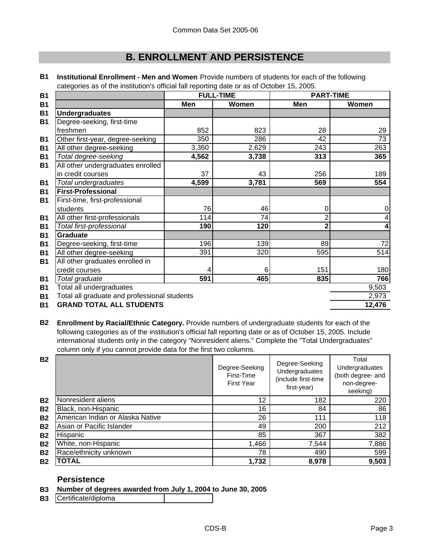# **B. ENROLLMENT AND PERSISTENCE**

|                                              | <b>FULL-TIME</b> |       | <b>PART-TIME</b> |       |
|----------------------------------------------|------------------|-------|------------------|-------|
|                                              | Men              | Women | Men              | Women |
| <b>Undergraduates</b>                        |                  |       |                  |       |
| Degree-seeking, first-time                   |                  |       |                  |       |
| freshmen                                     | 852              | 823   | 28               | 29    |
| Other first-year, degree-seeking             | 350              | 286   | 42               | 73    |
| All other degree-seeking                     | 3,360            | 2,629 | 243              | 263   |
| Total degree-seeking                         | 4,562            | 3,738 | 313              | 365   |
| All other undergraduates enrolled            |                  |       |                  |       |
| in credit courses                            | 37               | 43    | 256              | 189   |
| Total undergraduates                         | 4,599            | 3,781 | 569              | 554   |
| <b>First-Professional</b>                    |                  |       |                  |       |
| First-time, first-professional               |                  |       |                  |       |
| students                                     | 76               | 46    | 0                | 0     |
| All other first-professionals                | 114              | 74    | 2                |       |
| Total first-professional                     | 190              | 120   | $\overline{2}$   |       |
| <b>Graduate</b>                              |                  |       |                  |       |
| Degree-seeking, first-time                   | 196              | 139   | 89               | 72    |
| All other degree-seeking                     | 391              | 320   | 595              | 514   |
| All other graduates enrolled in              |                  |       |                  |       |
| credit courses                               | 4                | 6     | 151              | 180   |
| Total graduate                               | 591              | 465   | 835              | 766   |
| Total all undergraduates                     |                  |       |                  | 9,503 |
| Total all graduate and professional students |                  |       |                  | 2,973 |
|                                              |                  |       |                  |       |

**B1 Institutional Enrollment - Men and Women** Provide numbers of students for each of the following categories as of the institution's official fall reporting date or as of October 15, 2005.

**B1 12,476 GRAND TOTAL ALL STUDENTS**

**B2 Enrollment by Racial/Ethnic Category.** Provide numbers of undergraduate students for each of the following categories as of the institution's official fall reporting date or as of October 15, 2005. Include international students only in the category "Nonresident aliens." Complete the "Total Undergraduates" column only if you cannot provide data for the first two columns.

| <b>B2</b> |                                  | Degree-Seeking<br>First-Time<br><b>First Year</b> | Degree-Seeking<br>Undergraduates<br>(include first-time<br>first-year) | Total<br>Undergraduates<br>(both degree- and<br>non-degree-<br>seeking) |
|-----------|----------------------------------|---------------------------------------------------|------------------------------------------------------------------------|-------------------------------------------------------------------------|
| <b>B2</b> | Nonresident aliens               | 12                                                | 182                                                                    | 220                                                                     |
| <b>B2</b> | Black, non-Hispanic              | 16                                                | 84                                                                     | 86                                                                      |
| <b>B2</b> | American Indian or Alaska Native | 26                                                | 111                                                                    | 118                                                                     |
| <b>B2</b> | Asian or Pacific Islander        | 49                                                | 200                                                                    | 212                                                                     |
| <b>B2</b> | Hispanic                         | 85                                                | 367                                                                    | 382                                                                     |
| <b>B2</b> | White, non-Hispanic              | 1,466                                             | 7,544                                                                  | 7,886                                                                   |
| <b>B2</b> | Race/ethnicity unknown           | 78                                                | 490                                                                    | 599                                                                     |
| <b>B2</b> | <b>TOTAL</b>                     | 1,732                                             | 8,978                                                                  | 9,503                                                                   |

## **Persistence**

- **B3 Number of degrees awarded from July 1, 2004 to June 30, 2005**
- **B3** Certificate/diploma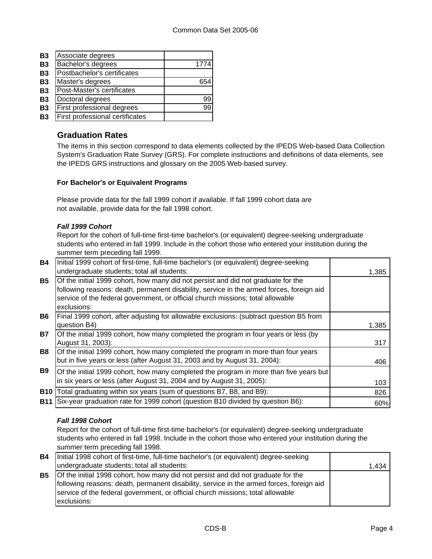| <b>B3</b> | Associate degrees               |      |
|-----------|---------------------------------|------|
| <b>B3</b> | Bachelor's degrees              | 1774 |
| <b>B3</b> | Postbachelor's certificates     |      |
| <b>B3</b> | Master's degrees                |      |
| <b>B3</b> | Post-Master's certificates      |      |
| <b>B3</b> | Doctoral degrees                | 99   |
| <b>B3</b> | First professional degrees      | 99   |
| <b>B3</b> | First professional certificates |      |

## **Graduation Rates**

The items in this section correspond to data elements collected by the IPEDS Web-based Data Collection System's Graduation Rate Survey (GRS). For complete instructions and definitions of data elements, see the IPEDS GRS instructions and glossary on the 2005 Web-based survey.

## **For Bachelor's or Equivalent Programs**

Please provide data for the fall 1999 cohort if available. If fall 1999 cohort data are not available, provide data for the fall 1998 cohort.

### *Fall 1999 Cohort*

Report for the cohort of full-time first-time bachelor's (or equivalent) degree-seeking undergraduate students who entered in fall 1999. Include in the cohort those who entered your institution during the summer term preceding fall 1999.

| <b>B4</b>  | Initial 1999 cohort of first-time, full-time bachelor's (or equivalent) degree-seeking<br>undergraduate students; total all students:                                                                                                                                           | 1,385 |
|------------|---------------------------------------------------------------------------------------------------------------------------------------------------------------------------------------------------------------------------------------------------------------------------------|-------|
| <b>B5</b>  | Of the initial 1999 cohort, how many did not persist and did not graduate for the<br>following reasons: death, permanent disability, service in the armed forces, foreign aid<br>service of the federal government, or official church missions; total allowable<br>exclusions: |       |
| <b>B6</b>  | Final 1999 cohort, after adjusting for allowable exclusions: (subtract question B5 from<br>question B4)                                                                                                                                                                         | 1,385 |
| <b>B7</b>  | Of the initial 1999 cohort, how many completed the program in four years or less (by<br>August 31, 2003):                                                                                                                                                                       | 317   |
| <b>B8</b>  | Of the initial 1999 cohort, how many completed the program in more than four years<br>but in five years or less (after August 31, 2003 and by August 31, 2004):                                                                                                                 | 406   |
| <b>B</b> 9 | Of the initial 1999 cohort, how many completed the program in more than five years but<br>in six years or less (after August 31, 2004 and by August 31, 2005):                                                                                                                  | 103   |
| <b>B10</b> | Total graduating within six years (sum of questions B7, B8, and B9):                                                                                                                                                                                                            | 826   |
| <b>B11</b> | Six-year graduation rate for 1999 cohort (question B10 divided by question B6):                                                                                                                                                                                                 | 60%   |

## *Fall 1998 Cohort*

Report for the cohort of full-time first-time bachelor's (or equivalent) degree-seeking undergraduate students who entered in fall 1998. Include in the cohort those who entered your institution during the summer term preceding fall 1998.

| <b>B4</b> | Initial 1998 cohort of first-time, full-time bachelor's (or equivalent) degree-seeking   |       |
|-----------|------------------------------------------------------------------------------------------|-------|
|           | undergraduate students; total all students:                                              | 1,434 |
| <b>B5</b> | Of the initial 1998 cohort, how many did not persist and did not graduate for the        |       |
|           | following reasons: death, permanent disability, service in the armed forces, foreign aid |       |
|           | service of the federal government, or official church missions; total allowable          |       |
|           | exclusions:                                                                              |       |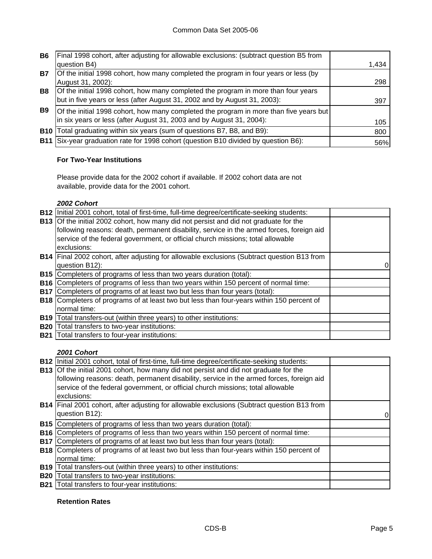| <b>B6</b>  | Final 1998 cohort, after adjusting for allowable exclusions: (subtract question B5 from |       |
|------------|-----------------------------------------------------------------------------------------|-------|
|            | question B4)                                                                            | 1.434 |
| <b>B7</b>  | Of the initial 1998 cohort, how many completed the program in four years or less (by    |       |
|            | August 31, 2002):                                                                       | 298   |
| <b>B8</b>  | Of the initial 1998 cohort, how many completed the program in more than four years      |       |
|            | but in five years or less (after August 31, 2002 and by August 31, 2003):               | 397   |
| <b>B</b> 9 | Of the initial 1998 cohort, how many completed the program in more than five years but  |       |
|            | in six years or less (after August 31, 2003 and by August 31, 2004):                    | 105   |
| <b>B10</b> | Total graduating within six years (sum of questions B7, B8, and B9):                    | 800   |
|            | B11 Six-year graduation rate for 1998 cohort (question B10 divided by question B6):     | 56%   |

## **For Two-Year Institutions**

Please provide data for the 2002 cohort if available. If 2002 cohort data are not available, provide data for the 2001 cohort.

### *2002 Cohort*

| <b>B12</b> | Initial 2001 cohort, total of first-time, full-time degree/certificate-seeking students:         |  |
|------------|--------------------------------------------------------------------------------------------------|--|
|            | <b>B13</b> Of the initial 2002 cohort, how many did not persist and did not graduate for the     |  |
|            | following reasons: death, permanent disability, service in the armed forces, foreign aid         |  |
|            | service of the federal government, or official church missions; total allowable                  |  |
|            | exclusions:                                                                                      |  |
|            | B14 Final 2002 cohort, after adjusting for allowable exclusions (Subtract question B13 from      |  |
|            | question B12):                                                                                   |  |
|            | <b>B15</b> Completers of programs of less than two years duration (total):                       |  |
|            | <b>B16</b> Completers of programs of less than two years within 150 percent of normal time:      |  |
| <b>B17</b> | Completers of programs of at least two but less than four years (total):                         |  |
|            | <b>B18</b> Completers of programs of at least two but less than four-years within 150 percent of |  |
|            | normal time:                                                                                     |  |
| <b>B19</b> | Total transfers-out (within three years) to other institutions:                                  |  |
| <b>B20</b> | Total transfers to two-year institutions:                                                        |  |
| <b>B21</b> | Total transfers to four-year institutions:                                                       |  |

### *2001 Cohort*

|            | B12   Initial 2001 cohort, total of first-time, full-time degree/certificate-seeking students:     |  |
|------------|----------------------------------------------------------------------------------------------------|--|
|            | <b>B13</b> Of the initial 2001 cohort, how many did not persist and did not graduate for the       |  |
|            | following reasons: death, permanent disability, service in the armed forces, foreign aid           |  |
|            | service of the federal government, or official church missions; total allowable                    |  |
|            | exclusions:                                                                                        |  |
|            | <b>B14</b> Final 2001 cohort, after adjusting for allowable exclusions (Subtract question B13 from |  |
|            | question B12):                                                                                     |  |
|            | <b>B15</b> Completers of programs of less than two years duration (total):                         |  |
|            | <b>B16</b> Completers of programs of less than two years within 150 percent of normal time:        |  |
| <b>B17</b> | Completers of programs of at least two but less than four years (total):                           |  |
|            | <b>B18</b> Completers of programs of at least two but less than four-years within 150 percent of   |  |
|            | normal time:                                                                                       |  |
|            | <b>B19</b> Total transfers-out (within three years) to other institutions:                         |  |
|            | <b>B20</b> Total transfers to two-year institutions:                                               |  |
|            | <b>B21</b> Total transfers to four-year institutions:                                              |  |

### **Retention Rates**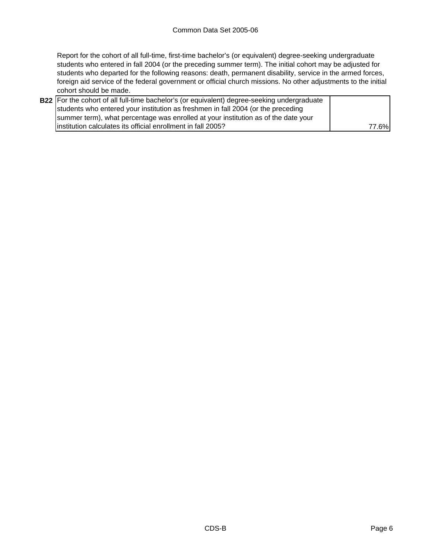Report for the cohort of all full-time, first-time bachelor's (or equivalent) degree-seeking undergraduate students who entered in fall 2004 (or the preceding summer term). The initial cohort may be adjusted for students who departed for the following reasons: death, permanent disability, service in the armed forces, foreign aid service of the federal government or official church missions. No other adjustments to the initial cohort should be made.

| <b>B22</b> For the cohort of all full-time bachelor's (or equivalent) degree-seeking undergraduate |       |
|----------------------------------------------------------------------------------------------------|-------|
| students who entered your institution as freshmen in fall 2004 (or the preceding                   |       |
| summer term), what percentage was enrolled at your institution as of the date your                 |       |
| linstitution calculates its official enrollment in fall 2005?                                      | 77.6% |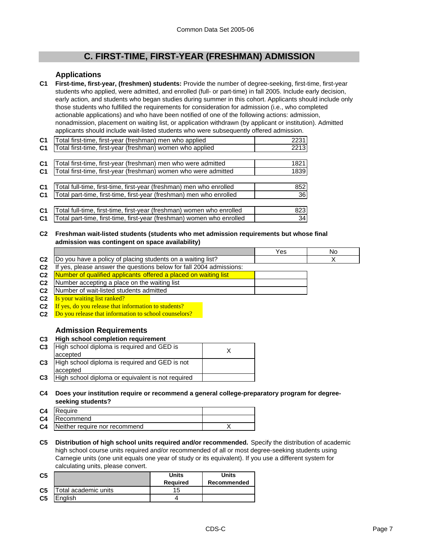## **C. FIRST-TIME, FIRST-YEAR (FRESHMAN) ADMISSION**

### **Applications**

**C1 First-time, first-year, (freshmen) students:** Provide the number of degree-seeking, first-time, first-year students who applied, were admitted, and enrolled (full- or part-time) in fall 2005. Include early decision, early action, and students who began studies during summer in this cohort. Applicants should include only those students who fulfilled the requirements for consideration for admission (i.e., who completed actionable applications) and who have been notified of one of the following actions: admission, nonadmission, placement on waiting list, or application withdrawn (by applicant or institution). Admitted applicants should include wait-listed students who were subsequently offered admission.

| C <sub>1</sub> | Total first-time, first-year (freshman) men who applied               | 2231 |
|----------------|-----------------------------------------------------------------------|------|
| C <sub>1</sub> | Total first-time, first-year (freshman) women who applied             | 2213 |
|                |                                                                       |      |
| C <sub>1</sub> | Total first-time, first-year (freshman) men who were admitted         | 1821 |
| C <sub>1</sub> | Total first-time, first-year (freshman) women who were admitted       | 1839 |
|                |                                                                       |      |
| C <sub>1</sub> | Total full-time, first-time, first-year (freshman) men who enrolled   | 852  |
| C <sub>1</sub> | Total part-time, first-time, first-year (freshman) men who enrolled   | 36   |
|                |                                                                       |      |
| C <sub>1</sub> | Total full-time, first-time, first-year (freshman) women who enrolled | 823  |
| C <sub>1</sub> | Total part-time, first-time, first-year (freshman) women who enrolled | 34   |

**C2 Freshman wait-listed students (students who met admission requirements but whose final admission was contingent on space availability)**

|                |                                                                         | Yes | No |
|----------------|-------------------------------------------------------------------------|-----|----|
| C <sub>2</sub> | Do you have a policy of placing students on a waiting list?             |     |    |
| C <sub>2</sub> | yes, please answer the questions below for fall 2004 admissions:<br>-lt |     |    |
| C <sub>2</sub> | Number of qualified applicants offered a placed on waiting list         |     |    |
| C <sub>2</sub> | Number accepting a place on the waiting list                            |     |    |
| C <sub>2</sub> | Number of wait-listed students admitted                                 |     |    |
| r,             | Is your waiting list ranked?                                            |     |    |

- **C2** Is your waiting list ranked?
- **C2** If yes, do you release that information to students?
- **C2** Do you release that information to school counselors?

### **Admission Requirements**

| C <sub>3</sub> |  | High school completion requirement |
|----------------|--|------------------------------------|
|                |  |                                    |

|                | C3   High school diploma is required and GED is<br>accepted   |  |
|----------------|---------------------------------------------------------------|--|
|                | C3 High school diploma is required and GED is not<br>accepted |  |
| C <sub>3</sub> | High school diploma or equivalent is not required             |  |

**C4 Does your institution require or recommend a general college-preparatory program for degreeseeking students?**

| C <sub>4</sub> | Reauire                       |  |
|----------------|-------------------------------|--|
| C <sub>4</sub> | Recommend                     |  |
| C <sub>4</sub> | Neither require nor recommend |  |

**C5 Distribution of high school units required and/or recommended.** Specify the distribution of academic high school course units required and/or recommended of all or most degree-seeking students using Carnegie units (one unit equals one year of study or its equivalent). If you use a different system for calculating units, please convert.

| C <sub>5</sub> |                      | Units<br><b>Required</b> | Units<br>Recommended |
|----------------|----------------------|--------------------------|----------------------|
| C <sub>5</sub> | Total academic units |                          |                      |
| C <sub>5</sub> | Enalish              |                          |                      |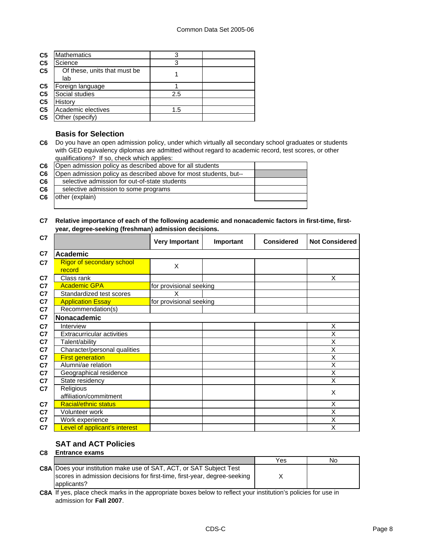| C <sub>5</sub> | <b>Mathematics</b>                  | 3   |  |
|----------------|-------------------------------------|-----|--|
| C <sub>5</sub> | Science                             | 3   |  |
| C <sub>5</sub> | Of these, units that must be<br>lab |     |  |
| C <sub>5</sub> | Foreign language                    |     |  |
| C <sub>5</sub> | Social studies                      | 2.5 |  |
| C <sub>5</sub> | History                             |     |  |
| C <sub>5</sub> | Academic electives                  | 1.5 |  |
| C <sub>5</sub> | Other (specify)                     |     |  |

### **Basis for Selection**

**C6** Do you have an open admission policy, under which virtually all secondary school graduates or students with GED equivalency diplomas are admitted without regard to academic record, test scores, or other qualifications? If so, check which applies:

| C <sub>6</sub> | Open admission policy as described above for all students         |  |
|----------------|-------------------------------------------------------------------|--|
| C6             | Open admission policy as described above for most students, but-- |  |
| C <sub>6</sub> | selective admission for out-of-state students                     |  |
| C6             | selective admission to some programs                              |  |
| C6             | other (explain)                                                   |  |
|                |                                                                   |  |

### **C7 Relative importance of each of the following academic and nonacademic factors in first-time, firstyear, degree-seeking (freshman) admission decisions.**

| C7             |                                            | <b>Very Important</b>   | Important | <b>Considered</b> | <b>Not Considered</b> |
|----------------|--------------------------------------------|-------------------------|-----------|-------------------|-----------------------|
| C7             | <b>Academic</b>                            |                         |           |                   |                       |
| C7             | <b>Rigor of secondary school</b><br>record | X                       |           |                   |                       |
| C <sub>7</sub> | Class rank                                 |                         |           |                   | X                     |
| C <sub>7</sub> | <b>Academic GPA</b>                        | for provisional seeking |           |                   |                       |
| C <sub>7</sub> | Standardized test scores                   | X                       |           |                   |                       |
| C <sub>7</sub> | <b>Application Essay</b>                   | for provisional seeking |           |                   |                       |
| C <sub>7</sub> | Recommendation(s)                          |                         |           |                   |                       |
| C7             | Nonacademic                                |                         |           |                   |                       |
| C <sub>7</sub> | Interview                                  |                         |           |                   | X                     |
| C <sub>7</sub> | <b>Extracurricular activities</b>          |                         |           |                   | X                     |
| C <sub>7</sub> | Talent/ability                             |                         |           |                   | X                     |
| C <sub>7</sub> | Character/personal qualities               |                         |           |                   | X                     |
| C <sub>7</sub> | <b>First generation</b>                    |                         |           |                   | X                     |
| C <sub>7</sub> | Alumni/ae relation                         |                         |           |                   | X                     |
| C <sub>7</sub> | Geographical residence                     |                         |           |                   | X                     |
| C <sub>7</sub> | State residency                            |                         |           |                   | X                     |
| C <sub>7</sub> | Religious<br>affiliation/commitment        |                         |           |                   | X                     |
| C <sub>7</sub> | <b>Racial/ethnic status</b>                |                         |           |                   | X                     |
| C <sub>7</sub> | Volunteer work                             |                         |           |                   | X                     |
| C <sub>7</sub> | Work experience                            |                         |           |                   | X                     |
| C7             | Level of applicant's interest              |                         |           |                   | X                     |

#### **SAT and ACT Policies C8 Entrance exams**

| vυ | еничное слинг                                                                                                                                                         |     |    |
|----|-----------------------------------------------------------------------------------------------------------------------------------------------------------------------|-----|----|
|    |                                                                                                                                                                       | Yes | No |
|    | <b>C8A Does your institution make use of SAT, ACT, or SAT Subject Test</b><br>scores in admission decisions for first-time, first-year, degree-seeking<br>applicants? |     |    |

**C8A** If yes, place check marks in the appropriate boxes below to reflect your institution's policies for use in admission for **Fall 2007**.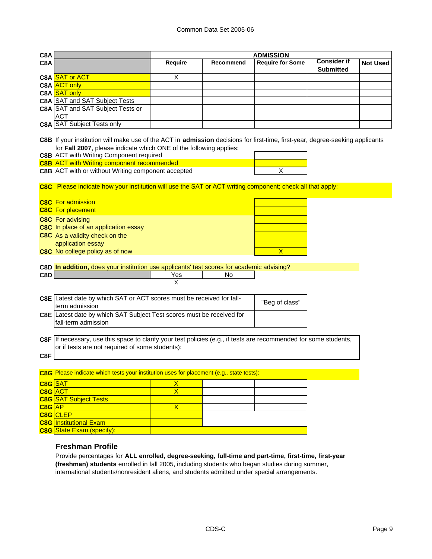| C8A            |                                                                                                                                                                                                     |                         |           | <b>ADMISSION</b>        |                                        |                 |
|----------------|-----------------------------------------------------------------------------------------------------------------------------------------------------------------------------------------------------|-------------------------|-----------|-------------------------|----------------------------------------|-----------------|
| C8A            |                                                                                                                                                                                                     | Require                 | Recommend | <b>Require for Some</b> | <b>Consider if</b><br><b>Submitted</b> | <b>Not Used</b> |
|                | C8A SAT or ACT                                                                                                                                                                                      | X                       |           |                         |                                        |                 |
|                | C8A <b>ACT</b> only                                                                                                                                                                                 |                         |           |                         |                                        |                 |
|                | C8A SAT only                                                                                                                                                                                        |                         |           |                         |                                        |                 |
|                | <b>C8A SAT and SAT Subject Tests</b>                                                                                                                                                                |                         |           |                         |                                        |                 |
|                | C8A SAT and SAT Subject Tests or                                                                                                                                                                    |                         |           |                         |                                        |                 |
|                | АСТ                                                                                                                                                                                                 |                         |           |                         |                                        |                 |
|                | <b>C8A</b> SAT Subject Tests only                                                                                                                                                                   |                         |           |                         |                                        |                 |
|                |                                                                                                                                                                                                     |                         |           |                         |                                        |                 |
|                | C8B If your institution will make use of the ACT in admission decisions for first-time, first-year, degree-seeking applicants<br>for Fall 2007, please indicate which ONE of the following applies: |                         |           |                         |                                        |                 |
|                | <b>C8B</b> ACT with Writing Component required                                                                                                                                                      |                         |           |                         |                                        |                 |
|                | <b>C8B</b> ACT with Writing component recommended                                                                                                                                                   |                         |           |                         |                                        |                 |
|                | C8B ACT with or without Writing component accepted                                                                                                                                                  |                         |           | Х                       |                                        |                 |
|                |                                                                                                                                                                                                     |                         |           |                         |                                        |                 |
|                | C8C Please indicate how your institution will use the SAT or ACT writing component; check all that apply:                                                                                           |                         |           |                         |                                        |                 |
|                | <b>C8C</b> For admission                                                                                                                                                                            |                         |           |                         |                                        |                 |
|                | <b>C8C</b> For placement                                                                                                                                                                            |                         |           |                         |                                        |                 |
|                |                                                                                                                                                                                                     |                         |           |                         |                                        |                 |
|                | <b>C8C</b> For advising<br>C8C In place of an application essay                                                                                                                                     |                         |           |                         |                                        |                 |
|                | C8C As a validity check on the                                                                                                                                                                      |                         |           |                         |                                        |                 |
|                | application essay                                                                                                                                                                                   |                         |           |                         |                                        |                 |
|                | C8C No college policy as of now                                                                                                                                                                     |                         |           | $\overline{\mathsf{X}}$ |                                        |                 |
|                |                                                                                                                                                                                                     |                         |           |                         |                                        |                 |
|                | C8D In addition, does your institution use applicants' test scores for academic advising?                                                                                                           |                         |           |                         |                                        |                 |
| C8D            |                                                                                                                                                                                                     | Yes                     | No        |                         |                                        |                 |
|                |                                                                                                                                                                                                     | X                       |           |                         |                                        |                 |
|                | C8E Latest date by which SAT or ACT scores must be received for fall-                                                                                                                               |                         |           |                         |                                        |                 |
|                | term admission                                                                                                                                                                                      |                         |           | "Beg of class"          |                                        |                 |
|                | C8E Latest date by which SAT Subject Test scores must be received for                                                                                                                               |                         |           |                         |                                        |                 |
|                | fall-term admission                                                                                                                                                                                 |                         |           |                         |                                        |                 |
|                |                                                                                                                                                                                                     |                         |           |                         |                                        |                 |
|                | C8F If necessary, use this space to clarify your test policies (e.g., if tests are recommended for some students,                                                                                   |                         |           |                         |                                        |                 |
|                | or if tests are not required of some students):                                                                                                                                                     |                         |           |                         |                                        |                 |
| C8F            |                                                                                                                                                                                                     |                         |           |                         |                                        |                 |
|                |                                                                                                                                                                                                     |                         |           |                         |                                        |                 |
|                | C8G Please indicate which tests your institution uses for placement (e.g., state tests):                                                                                                            |                         |           |                         |                                        |                 |
| C8G SAT        |                                                                                                                                                                                                     | $\mathsf{X}$            |           |                         |                                        |                 |
| <b>C8G</b> ACT |                                                                                                                                                                                                     | $\overline{\mathsf{X}}$ |           |                         |                                        |                 |
|                | <b>C8G</b> SAT Subject Tests                                                                                                                                                                        |                         |           |                         |                                        |                 |
| $C8G$ $AP$     | <b>C8G</b> CLEP                                                                                                                                                                                     | $\overline{\mathsf{X}}$ |           |                         |                                        |                 |
|                | <b>C8G</b> Institutional Exam                                                                                                                                                                       |                         |           |                         |                                        |                 |
|                | <b>C8G</b> State Exam (specify):                                                                                                                                                                    |                         |           |                         |                                        |                 |
|                |                                                                                                                                                                                                     |                         |           |                         |                                        |                 |

### **Freshman Profile**

Provide percentages for **ALL enrolled, degree-seeking, full-time and part-time, first-time, first-year (freshman) students** enrolled in fall 2005, including students who began studies during summer, international students/nonresident aliens, and students admitted under special arrangements.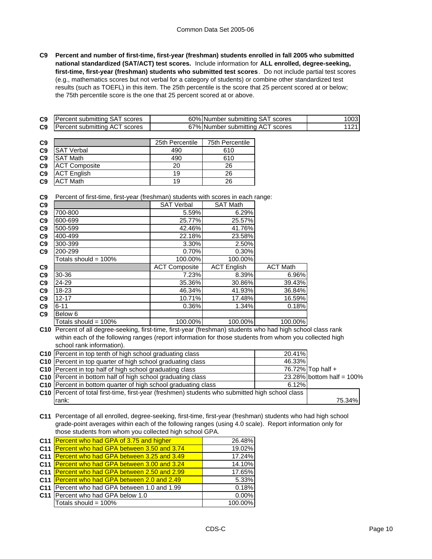**C9 Percent and number of first-time, first-year (freshman) students enrolled in fall 2005 who submitted national standardized (SAT/ACT) test scores.** Include information for **ALL enrolled, degree-seeking, first-time, first-year (freshman) students who submitted test scores**. Do not include partial test scores (e.g., mathematics scores but not verbal for a category of students) or combine other standardized test results (such as TOEFL) in this item. The 25th percentile is the score that 25 percent scored at or below; the 75th percentile score is the one that 25 percent scored at or above.

| C <sub>9</sub> | <b>Percent submitting SAT scores</b> | 60% Number submitting SAT scores | 003I |
|----------------|--------------------------------------|----------------------------------|------|
| C9             | <b>Percent submitting ACT scores</b> | 67% Number submitting ACT scores |      |

| C <sub>9</sub> |                      | 25th Percentile | 75th Percentile |
|----------------|----------------------|-----------------|-----------------|
| C <sub>9</sub> | <b>SAT Verbal</b>    | 490             | 610             |
| C <sub>9</sub> | <b>SAT Math</b>      | 490             | 610             |
| C <sub>9</sub> | <b>ACT Composite</b> | 20              | 26              |
| C <sub>9</sub> | <b>ACT English</b>   | 19              | 26              |
| C <sub>9</sub> | <b>ACT Math</b>      | 19              | 26              |

**C9** Percent of first-time, first-year (freshman) students with scores in each range:

| C9             |                         | <b>SAT Verbal</b>    | <b>SAT Math</b>    |                 |
|----------------|-------------------------|----------------------|--------------------|-----------------|
| C9             | 700-800                 | 5.59%                | 6.29%              |                 |
| C9             | 600-699                 | 25.77%               | 25.57%             |                 |
| C9             | 500-599                 | 42.46%               | 41.76%             |                 |
| C9             | 400-499                 | 22.18%               | 23.58%             |                 |
| C <sub>9</sub> | 300-399                 | 3.30%                | 2.50%              |                 |
| C9             | 200-299                 | 0.70%                | 0.30%              |                 |
|                | Totals should = $100\%$ | 100.00%              | 100.00%            |                 |
| C <sub>9</sub> |                         | <b>ACT Composite</b> | <b>ACT English</b> | <b>ACT Math</b> |
| C9             | 30-36                   | 7.23%                | 8.39%              | 6.96%           |
| C9             | 24-29                   | 35.36%               | 30.86%             | 39.43%          |
| C9             | 18-23                   | 46.34%               | 41.93%             | 36.84%          |
| C9             | $12 - 17$               | 10.71%               | 17.48%             | 16.59%          |
| C9             | $6 - 11$                | 0.36%                | 1.34%              | 0.18%           |
| C <sub>9</sub> | Below 6                 |                      |                    |                 |
|                | Totals should = $100\%$ | 100.00%              | 100.00%            | 100.00%         |
|                |                         |                      |                    |                 |

**C10** Percent of all degree-seeking, first-time, first-year (freshman) students who had high school class rank within each of the following ranges (report information for those students from whom you collected high school rank information).

| C10 Percent in top tenth of high school graduating class                                        | 20.41% |                              |  |
|-------------------------------------------------------------------------------------------------|--------|------------------------------|--|
| C10 Percent in top quarter of high school graduating class                                      | 46.33% |                              |  |
| C10 Percent in top half of high school graduating class                                         |        | 76.72% Top half +            |  |
| C10 Percent in bottom half of high school graduating class                                      |        | $23.28\%$ bottom half = 100% |  |
| C10 Percent in bottom quarter of high school graduating class                                   | 6.12%  |                              |  |
| C10 Percent of total first-time, first-year (freshmen) students who submitted high school class |        |                              |  |
| rank:                                                                                           |        | 75.34%                       |  |

**C11** Percentage of all enrolled, degree-seeking, first-time, first-year (freshman) students who had high school grade-point averages within each of the following ranges (using 4.0 scale). Report information only for those students from whom you collected high school GPA.

| C11 Percent who had GPA of 3.75 and higher    | 26.48%  |
|-----------------------------------------------|---------|
| C11 Percent who had GPA between 3.50 and 3.74 | 19.02%  |
| C11 Percent who had GPA between 3.25 and 3.49 | 17.24%  |
| C11 Percent who had GPA between 3.00 and 3.24 | 14.10%  |
| C11 Percent who had GPA between 2.50 and 2.99 | 17.65%  |
| C11 Percent who had GPA between 2.0 and 2.49  | 5.33%   |
| C11 Percent who had GPA between 1.0 and 1.99  | 0.18%   |
| C11 Percent who had GPA below 1.0             | 0.00%   |
| Totals should = 100%                          | 100.00% |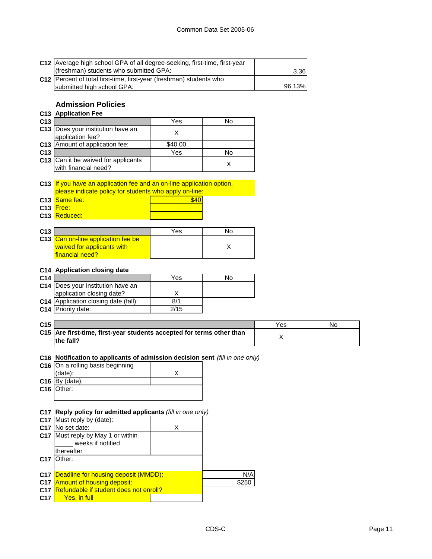|                 | C12 Average high school GPA of all degree-seeking, first-time, first-year<br>(freshman) students who submitted GPA: |         |       | 3.36   |           |  |
|-----------------|---------------------------------------------------------------------------------------------------------------------|---------|-------|--------|-----------|--|
|                 | C12 Percent of total first-time, first-year (freshman) students who<br>submitted high school GPA:                   |         |       | 96.13% |           |  |
|                 | <b>Admission Policies</b>                                                                                           |         |       |        |           |  |
|                 | <b>C13 Application Fee</b>                                                                                          |         |       |        |           |  |
| C13             |                                                                                                                     | Yes     | No    |        |           |  |
|                 | C13  Does your institution have an                                                                                  |         |       |        |           |  |
|                 | application fee?                                                                                                    | X       |       |        |           |  |
|                 | C13 Amount of application fee:                                                                                      | \$40.00 |       |        |           |  |
| C <sub>13</sub> |                                                                                                                     | Yes     | No    |        |           |  |
|                 | C13 Can it be waived for applicants                                                                                 |         | X     |        |           |  |
|                 | with financial need?                                                                                                |         |       |        |           |  |
|                 |                                                                                                                     |         |       |        |           |  |
|                 | C13 If you have an application fee and an on-line application option,                                               |         |       |        |           |  |
|                 | please indicate policy for students who apply on-line:                                                              |         |       |        |           |  |
|                 | C13 Same fee:                                                                                                       | \$40    |       |        |           |  |
|                 | C13 Free:                                                                                                           |         |       |        |           |  |
|                 | C13 Reduced:                                                                                                        |         |       |        |           |  |
|                 |                                                                                                                     |         |       |        |           |  |
| C13             |                                                                                                                     | Yes     | No    |        |           |  |
|                 | C13 Can on-line application fee be                                                                                  |         |       |        |           |  |
|                 | waived for applicants with                                                                                          |         | X     |        |           |  |
|                 | financial need?                                                                                                     |         |       |        |           |  |
|                 |                                                                                                                     |         |       |        |           |  |
| C14             | C14 Application closing date                                                                                        | Yes     | No    |        |           |  |
|                 | C14 Does your institution have an                                                                                   |         |       |        |           |  |
|                 | application closing date?                                                                                           | х       |       |        |           |  |
|                 | C14 Application closing date (fall):                                                                                | 8/1     |       |        |           |  |
|                 | C14 Priority date:                                                                                                  | 2/15    |       |        |           |  |
|                 |                                                                                                                     |         |       |        |           |  |
| C <sub>15</sub> |                                                                                                                     |         |       | Yes    | <b>No</b> |  |
|                 | C15 Are first-time, first-year students accepted for terms other than                                               |         |       |        |           |  |
|                 | the fall?                                                                                                           |         |       | Χ      |           |  |
|                 |                                                                                                                     |         |       |        |           |  |
|                 | C16 Notification to applicants of admission decision sent (fill in one only)                                        |         |       |        |           |  |
|                 | C16 On a rolling basis beginning                                                                                    |         |       |        |           |  |
|                 | (date):                                                                                                             | Х       |       |        |           |  |
|                 | C <sub>16</sub> $\overline{By}$ (date):                                                                             |         |       |        |           |  |
|                 | C <sub>16</sub> Other:                                                                                              |         |       |        |           |  |
|                 |                                                                                                                     |         |       |        |           |  |
|                 |                                                                                                                     |         |       |        |           |  |
|                 | C17 Reply policy for admitted applicants (fill in one only)                                                         |         |       |        |           |  |
|                 | C17 Must reply by (date):<br>C17 No set date:                                                                       |         |       |        |           |  |
|                 | C17 Must reply by May 1 or within                                                                                   | Χ       |       |        |           |  |
|                 | weeks if notified                                                                                                   |         |       |        |           |  |
|                 | thereafter                                                                                                          |         |       |        |           |  |
| C <sub>17</sub> | Other:                                                                                                              |         |       |        |           |  |
|                 |                                                                                                                     |         |       |        |           |  |
| C <sub>17</sub> | Deadline for housing deposit (MMDD):                                                                                |         | N/A   |        |           |  |
|                 |                                                                                                                     |         |       |        |           |  |
|                 | C17 Amount of housing deposit:                                                                                      |         | \$250 |        |           |  |
| C17             | C17 Refundable if student does not enroll?<br>Yes, in full                                                          |         |       |        |           |  |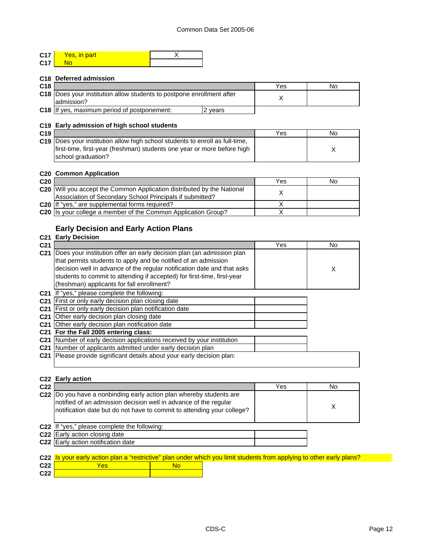| C17 | Yes, in part |  |
|-----|--------------|--|
| C17 |              |  |

### **C18 Deferred admission**

| C <sub>18</sub> |                                                                                        | Yes | No |
|-----------------|----------------------------------------------------------------------------------------|-----|----|
|                 | C18   Does your institution allow students to postpone enrollment after<br>ladmission? |     |    |
|                 | <b>C18</b> If yes, maximum period of postponement:<br>vears                            |     |    |

### **C19 Early admission of high school students**

| C <sub>19</sub> |                                                                              | Yes | No |
|-----------------|------------------------------------------------------------------------------|-----|----|
|                 | C19 Does your institution allow high school students to enroll as full-time. |     |    |
|                 | Ifirst-time, first-year (freshman) students one year or more before high     |     |    |
|                 | school graduation?                                                           |     |    |

### **C20 Common Application**

| C <sub>20</sub> |                                                                               | Yes | No |
|-----------------|-------------------------------------------------------------------------------|-----|----|
|                 | <b>C20</b> Will you accept the Common Application distributed by the National |     |    |
|                 | Association of Secondary School Principals if submitted?                      |     |    |
|                 | C20 If "yes," are supplemental forms required?                                |     |    |
|                 | C20 Is your college a member of the Common Application Group?                 |     |    |

## **Early Decision and Early Action Plans**

## **C21 Early Decision**

| C <sub>21</sub> |                                                                                                                                                                                                                                                                                                                                             | Yes | No |
|-----------------|---------------------------------------------------------------------------------------------------------------------------------------------------------------------------------------------------------------------------------------------------------------------------------------------------------------------------------------------|-----|----|
| C <sub>21</sub> | Does your institution offer an early decision plan (an admission plan<br>that permits students to apply and be notified of an admission<br>decision well in advance of the regular notification date and that asks<br>students to commit to attending if accepted) for first-time, first-year<br>(freshman) applicants for fall enrollment? |     | X  |
|                 | C21 If "yes," please complete the following:                                                                                                                                                                                                                                                                                                |     |    |
| C <sub>21</sub> | First or only early decision plan closing date                                                                                                                                                                                                                                                                                              |     |    |
|                 | C21 First or only early decision plan notification date                                                                                                                                                                                                                                                                                     |     |    |
|                 | <b>C21</b> Other early decision plan closing date                                                                                                                                                                                                                                                                                           |     |    |
|                 | C21 Other early decision plan notification date                                                                                                                                                                                                                                                                                             |     |    |
|                 | C21 For the Fall 2005 entering class:                                                                                                                                                                                                                                                                                                       |     |    |
|                 | C21 Number of early decision applications received by your institution                                                                                                                                                                                                                                                                      |     |    |
|                 | C21 Number of applicants admitted under early decision plan                                                                                                                                                                                                                                                                                 |     |    |
| C <sub>21</sub> | Please provide significant details about your early decision plan:                                                                                                                                                                                                                                                                          |     |    |

|                 | C <sub>22</sub> Early action                                                                                                                                                                                       |     |    |
|-----------------|--------------------------------------------------------------------------------------------------------------------------------------------------------------------------------------------------------------------|-----|----|
| C <sub>22</sub> |                                                                                                                                                                                                                    | Yes | No |
|                 | C22  Do you have a nonbinding early action plan whereby students are<br>notified of an admission decision well in advance of the regular<br>notification date but do not have to commit to attending your college? |     | X  |
|                 | C22 If "yes," please complete the following:                                                                                                                                                                       |     |    |
|                 | C22 Early action closing date                                                                                                                                                                                      |     |    |
|                 | C22 Early action notification date                                                                                                                                                                                 |     |    |

|                 |     | C22 Is your early action plan a "restrictive" plan under which you limit students from applying to other early plans? |
|-----------------|-----|-----------------------------------------------------------------------------------------------------------------------|
| C22             | Yes |                                                                                                                       |
| C <sub>22</sub> |     |                                                                                                                       |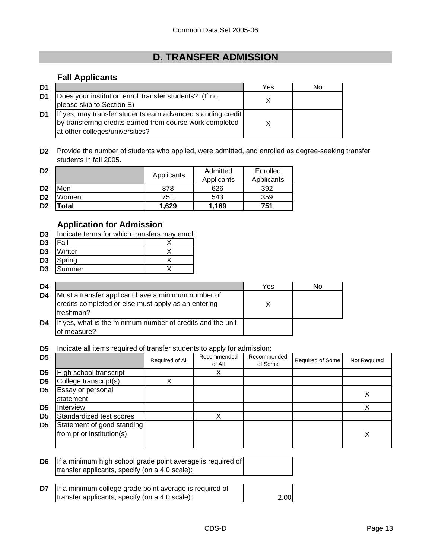# **D. TRANSFER ADMISSION**

## **Fall Applicants**

| D <sub>1</sub> |                                                                                                                                                             | Yes | No |
|----------------|-------------------------------------------------------------------------------------------------------------------------------------------------------------|-----|----|
| D1             | Does your institution enroll transfer students? (If no,<br>please skip to Section E)                                                                        |     |    |
| D1             | If yes, may transfer students earn advanced standing credit<br>by transferring credits earned from course work completed<br>at other colleges/universities? |     |    |

**D2** Provide the number of students who applied, were admitted, and enrolled as degree-seeking transfer students in fall 2005.

| D <sub>2</sub> |       | Applicants | Admitted   | Enrolled<br>Applicants |  |
|----------------|-------|------------|------------|------------------------|--|
|                |       |            | Applicants |                        |  |
| D <sub>2</sub> | Men   | 878        | 626        | 392                    |  |
| D <sub>2</sub> | Women | 751        | 543        | 359                    |  |
| D <sub>2</sub> | 'otal | 1.629      | .169       | 751                    |  |

## **Application for Admission**

**D3** Indicate terms for which transfers may enroll:

| D <sub>3</sub> | all |  |
|----------------|-----|--|
| - -            | .   |  |

- **D3** Winter X
- **D3** Spring X **D3** Summer X

| D4             |                                                                                                                         | Yes | No |
|----------------|-------------------------------------------------------------------------------------------------------------------------|-----|----|
| D <sub>4</sub> | Must a transfer applicant have a minimum number of<br>credits completed or else must apply as an entering<br>lfreshman? |     |    |
| D4             | If yes, what is the minimum number of credits and the unit<br>of measure?                                               |     |    |

**D5** Indicate all items required of transfer students to apply for admission:

| D <sub>5</sub> |                                                         | Required of All | Recommended<br>of All | Recommended<br>of Some | Required of Some | Not Required |
|----------------|---------------------------------------------------------|-----------------|-----------------------|------------------------|------------------|--------------|
| D <sub>5</sub> | High school transcript                                  |                 |                       |                        |                  |              |
| D <sub>5</sub> | College transcript(s)                                   |                 |                       |                        |                  |              |
| D <sub>5</sub> | Essay or personal<br>statement                          |                 |                       |                        |                  |              |
| D5             | <b>Interview</b>                                        |                 |                       |                        |                  |              |
| D <sub>5</sub> | Standardized test scores                                |                 |                       |                        |                  |              |
| D <sub>5</sub> | Statement of good standing<br>from prior institution(s) |                 |                       |                        |                  | X            |

| <b>D6</b> If a minimum high school grade point average is required of |  |
|-----------------------------------------------------------------------|--|
| transfer applicants, specify (on a 4.0 scale):                        |  |

| <b>D7</b> If a minimum college grade point average is required of |      |
|-------------------------------------------------------------------|------|
| transfer applicants, specify (on a 4.0 scale):                    | 2.00 |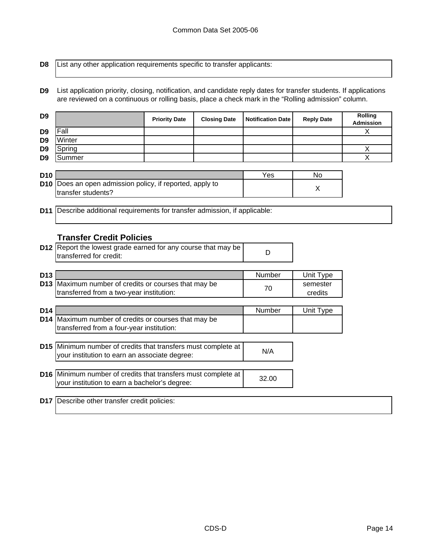**D8**

List any other application requirements specific to transfer applicants:

**D9** List application priority, closing, notification, and candidate reply dates for transfer students. If applications are reviewed on a continuous or rolling basis, place a check mark in the "Rolling admission" column.

| D <sub>9</sub>  |                                                                                          | <b>Priority Date</b> | <b>Closing Date</b> | <b>Notification Date</b> | <b>Reply Date</b>   | Rolling<br><b>Admission</b> |
|-----------------|------------------------------------------------------------------------------------------|----------------------|---------------------|--------------------------|---------------------|-----------------------------|
| D <sub>9</sub>  | lFall                                                                                    |                      |                     |                          |                     | X                           |
| D <sub>9</sub>  | Winter                                                                                   |                      |                     |                          |                     |                             |
| D <sub>9</sub>  | Spring                                                                                   |                      |                     |                          |                     | X                           |
| D <sub>9</sub>  | Summer                                                                                   |                      |                     |                          |                     | X                           |
|                 |                                                                                          |                      |                     |                          |                     |                             |
| <b>D10</b>      |                                                                                          |                      |                     | Yes                      | No                  |                             |
| D <sub>10</sub> | Does an open admission policy, if reported, apply to                                     |                      |                     |                          | X                   |                             |
|                 | transfer students?                                                                       |                      |                     |                          |                     |                             |
|                 |                                                                                          |                      |                     |                          |                     |                             |
| D <sub>11</sub> | Describe additional requirements for transfer admission, if applicable:                  |                      |                     |                          |                     |                             |
|                 |                                                                                          |                      |                     |                          |                     |                             |
|                 | <b>Transfer Credit Policies</b>                                                          |                      |                     |                          |                     |                             |
|                 |                                                                                          |                      |                     |                          |                     |                             |
|                 | D12 Report the lowest grade earned for any course that may be<br>transferred for credit: |                      |                     | D                        |                     |                             |
|                 |                                                                                          |                      |                     |                          |                     |                             |
|                 |                                                                                          |                      |                     |                          |                     |                             |
| D <sub>13</sub> | Maximum number of credits or courses that may be                                         |                      |                     | Number                   | Unit Type           |                             |
| D <sub>13</sub> | transferred from a two-year institution:                                                 |                      |                     | 70                       | semester<br>credits |                             |
|                 |                                                                                          |                      |                     |                          |                     |                             |
| D <sub>14</sub> |                                                                                          |                      |                     | Number                   | Unit Type           |                             |
| D <sub>14</sub> | Maximum number of credits or courses that may be                                         |                      |                     |                          |                     |                             |
|                 | transferred from a four-year institution:                                                |                      |                     |                          |                     |                             |
|                 |                                                                                          |                      |                     |                          |                     |                             |
|                 | D15 Minimum number of credits that transfers must complete at                            |                      |                     |                          |                     |                             |
|                 | your institution to earn an associate degree:                                            |                      |                     | N/A                      |                     |                             |
|                 |                                                                                          |                      |                     |                          |                     |                             |
|                 | D16 Minimum number of credits that transfers must complete at                            |                      |                     |                          |                     |                             |
|                 | your institution to earn a bachelor's degree:                                            |                      |                     | 32.00                    |                     |                             |
|                 |                                                                                          |                      |                     |                          |                     |                             |
| <b>D17</b>      | Describe other transfer credit policies:                                                 |                      |                     |                          |                     |                             |
|                 |                                                                                          |                      |                     |                          |                     |                             |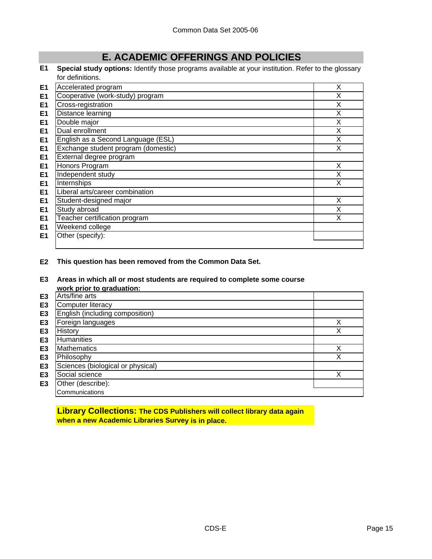# **E. ACADEMIC OFFERINGS AND POLICIES**

**E1 Special study options:** Identify those programs available at your institution. Refer to the glossary for definitions.

| E <sub>1</sub> | Accelerated program                 | X |
|----------------|-------------------------------------|---|
| E <sub>1</sub> | Cooperative (work-study) program    | X |
| E <sub>1</sub> | Cross-registration                  | X |
| E <sub>1</sub> | Distance learning                   | X |
| E <sub>1</sub> | Double major                        | X |
| E <sub>1</sub> | Dual enrollment                     | X |
| E <sub>1</sub> | English as a Second Language (ESL)  | X |
| E <sub>1</sub> | Exchange student program (domestic) | X |
| E <sub>1</sub> | External degree program             |   |
| E <sub>1</sub> | Honors Program                      | X |
| E <sub>1</sub> | Independent study                   | X |
| E <sub>1</sub> | Internships                         | X |
| E <sub>1</sub> | Liberal arts/career combination     |   |
| E <sub>1</sub> | Student-designed major              | X |
| E <sub>1</sub> | Study abroad                        | X |
| E <sub>1</sub> | Teacher certification program       | X |
| E <sub>1</sub> | Weekend college                     |   |
| E1             | Other (specify):                    |   |
|                |                                     |   |

**E2 This question has been removed from the Common Data Set.**

**E3 Areas in which all or most students are required to complete some course work prior to graduation:**

|                | <b>WOLN DITOL TO GLAUGHOLL</b>    |   |
|----------------|-----------------------------------|---|
| E <sub>3</sub> | Arts/fine arts                    |   |
| E <sub>3</sub> | <b>Computer literacy</b>          |   |
| E <sub>3</sub> | English (including composition)   |   |
| E3             | Foreign languages                 | Χ |
| E3             | History                           | Χ |
| E3             | Humanities                        |   |
| E3             | <b>Mathematics</b>                | Χ |
| E <sub>3</sub> | Philosophy                        | Χ |
| E <sub>3</sub> | Sciences (biological or physical) |   |
| E <sub>3</sub> | Social science                    | Χ |
| E <sub>3</sub> | Other (describe):                 |   |
|                | Communications                    |   |
|                |                                   |   |

**Library Collections: The CDS Publishers will collect library data again when a new Academic Libraries Survey is in place.**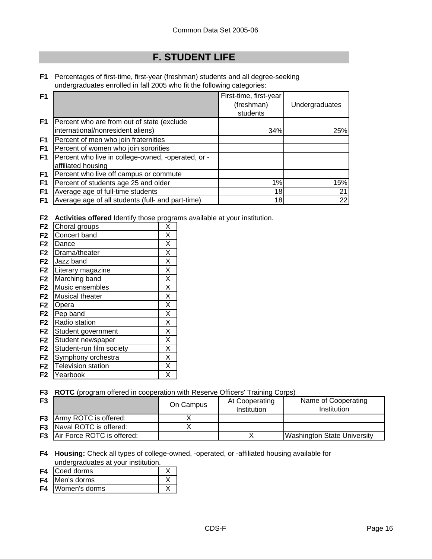# **F. STUDENT LIFE**

**F1** Percentages of first-time, first-year (freshman) students and all degree-seeking undergraduates enrolled in fall 2005 who fit the following categories:

| F <sub>1</sub> |                                                    | First-time, first-year |                |
|----------------|----------------------------------------------------|------------------------|----------------|
|                |                                                    | (freshman)             | Undergraduates |
|                |                                                    | students               |                |
| F1             | Percent who are from out of state (exclude         |                        |                |
|                | international/nonresident aliens)                  | 34%                    | 25%            |
| F1             | Percent of men who join fraternities               |                        |                |
| F <sub>1</sub> | Percent of women who join sororities               |                        |                |
| F1             | Percent who live in college-owned, -operated, or - |                        |                |
|                | affiliated housing                                 |                        |                |
| F1             | Percent who live off campus or commute             |                        |                |
| F <sub>1</sub> | Percent of students age 25 and older               | 1%                     | 15%            |
| F <sub>1</sub> | Average age of full-time students                  | 18                     | 21             |
| F1             | Average age of all students (full- and part-time)  | 18                     | 22             |

**F2 Activities offered** Identify those programs available at your institution.

| F <sub>2</sub> | Choral groups            | X                       |
|----------------|--------------------------|-------------------------|
| F <sub>2</sub> | Concert band             | X                       |
| F <sub>2</sub> | Dance                    | X                       |
| F <sub>2</sub> | Drama/theater            | X                       |
| F <sub>2</sub> | Jazz band                | $\overline{\mathsf{x}}$ |
| F <sub>2</sub> | Literary magazine        | X                       |
| F <sub>2</sub> | Marching band            | X                       |
| F <sub>2</sub> | Music ensembles          | X                       |
| F <sub>2</sub> | Musical theater          | X                       |
| F <sub>2</sub> | Opera                    | X                       |
| F <sub>2</sub> | Pep band                 | X                       |
| F <sub>2</sub> | Radio station            | X                       |
| F <sub>2</sub> | Student government       | X                       |
| F <sub>2</sub> | Student newspaper        | X                       |
| F <sub>2</sub> | Student-run film society | X                       |
| F <sub>2</sub> | Symphony orchestra       | X                       |
| F <sub>2</sub> | Television station       | X                       |
| F2             | Yearbook                 | х                       |

**F3 ROTC** (program offered in cooperation with Reserve Officers' Training Corps)

| F <sub>3</sub> |                                      | On Campus | At Cooperating<br><b>Institution</b> | Name of Cooperating<br>Institution |
|----------------|--------------------------------------|-----------|--------------------------------------|------------------------------------|
|                | <b>F3</b> Army ROTC is offered:      |           |                                      |                                    |
|                | <b>F3</b> Naval ROTC is offered:     |           |                                      |                                    |
|                | <b>F3</b> Air Force ROTC is offered: |           |                                      | <b>Washington State University</b> |

**F4 Housing:** Check all types of college-owned, -operated, or -affiliated housing available for undergraduates at your institution.

- **F4** Coed dorms X **F4** Men's dorms X
- **F4** Women's dorms X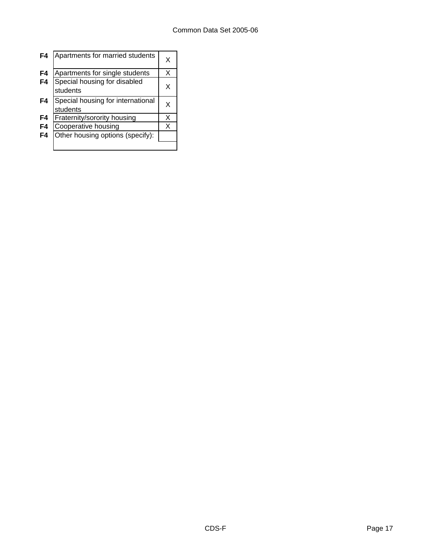| F4 | Apartments for married students               | x |
|----|-----------------------------------------------|---|
| F4 | Apartments for single students                | X |
| F4 | Special housing for disabled<br>students      | x |
| F4 | Special housing for international<br>students | x |
| F4 | Fraternity/sorority housing                   | x |
| F4 | Cooperative housing                           | x |
| F4 | Other housing options (specify):              |   |
|    |                                               |   |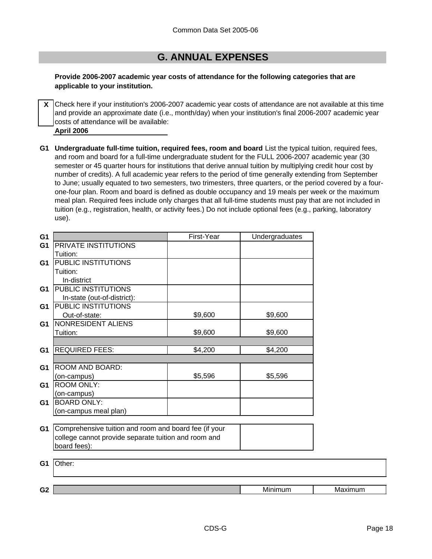## **G. ANNUAL EXPENSES**

### **Provide 2006-2007 academic year costs of attendance for the following categories that are applicable to your institution.**

**X** Check here if your institution's 2006-2007 academic year costs of attendance are not available at this time and provide an approximate date (i.e., month/day) when your institution's final 2006-2007 academic year costs of attendance will be available:

**April 2006**

**G1 Undergraduate full-time tuition, required fees, room and board** List the typical tuition, required fees, and room and board for a full-time undergraduate student for the FULL 2006-2007 academic year (30 semester or 45 quarter hours for institutions that derive annual tuition by multiplying credit hour cost by number of credits). A full academic year refers to the period of time generally extending from September to June; usually equated to two semesters, two trimesters, three quarters, or the period covered by a fourone-four plan. Room and board is defined as double occupancy and 19 meals per week or the maximum meal plan. Required fees include only charges that all full-time students must pay that are not included in tuition (e.g., registration, health, or activity fees.) Do not include optional fees (e.g., parking, laboratory use).

| G <sub>1</sub> |                                                       | First-Year | Undergraduates |         |
|----------------|-------------------------------------------------------|------------|----------------|---------|
| G <sub>1</sub> | PRIVATE INSTITUTIONS                                  |            |                |         |
|                | Tuition:                                              |            |                |         |
| G1             | PUBLIC INSTITUTIONS                                   |            |                |         |
|                | Tuition:                                              |            |                |         |
|                | In-district                                           |            |                |         |
| G1             | PUBLIC INSTITUTIONS                                   |            |                |         |
|                | In-state (out-of-district):                           |            |                |         |
| G1             | PUBLIC INSTITUTIONS                                   |            |                |         |
|                | Out-of-state:                                         | \$9,600    | \$9,600        |         |
| G1             | NONRESIDENT ALIENS                                    |            |                |         |
|                | Tuition:                                              | \$9,600    | \$9,600        |         |
|                |                                                       |            |                |         |
| G <sub>1</sub> | <b>REQUIRED FEES:</b>                                 | \$4,200    | \$4,200        |         |
|                |                                                       |            |                |         |
| G <sub>1</sub> | ROOM AND BOARD:                                       |            |                |         |
|                | (on-campus)                                           | \$5,596    | \$5,596        |         |
| G1             | <b>ROOM ONLY:</b>                                     |            |                |         |
|                | (on-campus)                                           |            |                |         |
| G <sub>1</sub> | <b>BOARD ONLY:</b>                                    |            |                |         |
|                | (on-campus meal plan)                                 |            |                |         |
|                |                                                       |            |                |         |
| G1             | Comprehensive tuition and room and board fee (if your |            |                |         |
|                | college cannot provide separate tuition and room and  |            |                |         |
|                | board fees):                                          |            |                |         |
|                |                                                       |            |                |         |
| G <sub>1</sub> | Other:                                                |            |                |         |
|                |                                                       |            |                |         |
|                |                                                       |            |                |         |
| G <sub>2</sub> |                                                       |            | Minimum        | Maximum |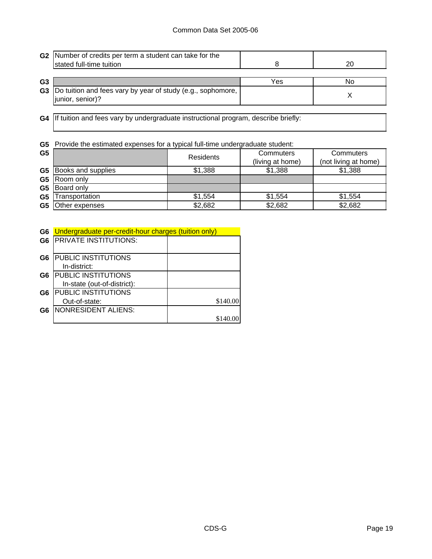|                | G2 Number of credits per term a student can take for the<br>stated full-time tuition      |     | 20 |
|----------------|-------------------------------------------------------------------------------------------|-----|----|
| G <sub>3</sub> |                                                                                           | Yes | N٥ |
|                | <b>G3</b> Do tuition and fees vary by year of study (e.g., sophomore,<br>junior, senior)? |     |    |

**G4** If tuition and fees vary by undergraduate instructional program, describe briefly:

**G5** Provide the estimated expenses for a typical full-time undergraduate student:

| G <sub>5</sub> |                              | <b>Residents</b> | Commuters<br>(living at home) | Commuters<br>(not living at home) |
|----------------|------------------------------|------------------|-------------------------------|-----------------------------------|
|                | <b>G5</b> Books and supplies | \$1,388          | \$1,388                       | \$1,388                           |
|                | G5 Room only                 |                  |                               |                                   |
|                | G5 Board only                |                  |                               |                                   |
| G <sub>5</sub> | Transportation               | \$1,554          | \$1,554                       | \$1.554                           |
| G5             | Other expenses               | \$2,682          | \$2,682                       | \$2,682                           |

| G6 Undergraduate per-credit-hour charges (tuition only) |  |
|---------------------------------------------------------|--|
|                                                         |  |

| G <sub>6</sub> | <b>PRIVATE INSTITUTIONS:</b> |          |
|----------------|------------------------------|----------|
| G <sub>6</sub> | PUBLIC INSTITUTIONS          |          |
|                | In-district:                 |          |
| G6             | PUBLIC INSTITUTIONS          |          |
|                | In-state (out-of-district):  |          |
| G <sub>6</sub> | PUBLIC INSTITUTIONS          |          |
|                | Out-of-state:                | \$140.00 |
| G6             | NONRESIDENT ALIENS:          |          |
|                |                              |          |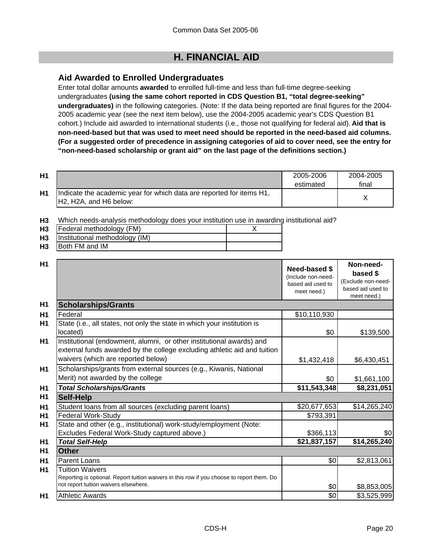# **H. FINANCIAL AID**

## **Aid Awarded to Enrolled Undergraduates**

Enter total dollar amounts **awarded** to enrolled full-time and less than full-time degree-seeking undergraduates **(using the same cohort reported in CDS Question B1, "total degree-seeking" undergraduates)** in the following categories. (Note: If the data being reported are final figures for the 2004- 2005 academic year (see the next item below), use the 2004-2005 academic year's CDS Question B1 cohort.) Include aid awarded to international students (i.e., those not qualifying for federal aid). **Aid that is non-need-based but that was used to meet need should be reported in the need-based aid columns. (For a suggested order of precedence in assigning categories of aid to cover need, see the entry for "non-need-based scholarship or grant aid" on the last page of the definitions section.)**

| H1 |                                                                                                 | 2005-2006<br>estimated | 2004-2005<br>final |
|----|-------------------------------------------------------------------------------------------------|------------------------|--------------------|
| H1 | Indicate the academic year for which data are reported for items H1,<br>IH2. H2A. and H6 below: |                        |                    |

**H3** Which needs-analysis methodology does your institution use in awarding institutional aid?

| H <sub>3</sub> | Federal methodology (FM)            |  |
|----------------|-------------------------------------|--|
|                | H3   Institutional methodology (IM) |  |
| <b>H3</b>      | Both FM and IM                      |  |

| H1             |                                                                                                                                                                                        | <b>Need-based \$</b><br>(Include non-need-<br>based aid used to<br>meet need.) | Non-need-<br>based \$<br>(Exclude non-need-<br>based aid used to<br>meet need.) |
|----------------|----------------------------------------------------------------------------------------------------------------------------------------------------------------------------------------|--------------------------------------------------------------------------------|---------------------------------------------------------------------------------|
| H <sub>1</sub> | <b>Scholarships/Grants</b>                                                                                                                                                             |                                                                                |                                                                                 |
| H1             | Federal                                                                                                                                                                                | \$10,110,930                                                                   |                                                                                 |
| H1             | State (i.e., all states, not only the state in which your institution is<br>located)                                                                                                   | \$0                                                                            | \$139,500                                                                       |
| H1             | Institutional (endowment, alumni, or other institutional awards) and<br>external funds awarded by the college excluding athletic aid and tuition<br>waivers (which are reported below) | \$1,432,418                                                                    | \$6,430,451                                                                     |
| H1             | Scholarships/grants from external sources (e.g., Kiwanis, National<br>Merit) not awarded by the college                                                                                | \$0                                                                            | \$1,661,100                                                                     |
| H <sub>1</sub> | <b>Total Scholarships/Grants</b>                                                                                                                                                       | \$11,543,348                                                                   | \$8,231,051                                                                     |
| H <sub>1</sub> | <b>Self-Help</b>                                                                                                                                                                       |                                                                                |                                                                                 |
| H1             | Student loans from all sources (excluding parent loans)                                                                                                                                | \$20,677,653                                                                   | \$14,265,240                                                                    |
| H1             | Federal Work-Study                                                                                                                                                                     | \$793,391                                                                      |                                                                                 |
| H1             | State and other (e.g., institutional) work-study/employment (Note:                                                                                                                     |                                                                                |                                                                                 |
|                | Excludes Federal Work-Study captured above.)                                                                                                                                           | \$366,113                                                                      | \$0                                                                             |
| H <sub>1</sub> | <b>Total Self-Help</b>                                                                                                                                                                 | \$21,837,157                                                                   | \$14,265,240                                                                    |
| H1             | Other                                                                                                                                                                                  |                                                                                |                                                                                 |
| H1             | Parent Loans                                                                                                                                                                           | \$0                                                                            | \$2,813,061                                                                     |
| H1             | Tuition Waivers<br>Reporting is optional. Report tuition waivers in this row if you choose to report them. Do<br>not report tuition waivers elsewhere.                                 | \$0                                                                            | \$8,853,005                                                                     |
| H1             | <b>Athletic Awards</b>                                                                                                                                                                 | \$0                                                                            | \$3,525,999                                                                     |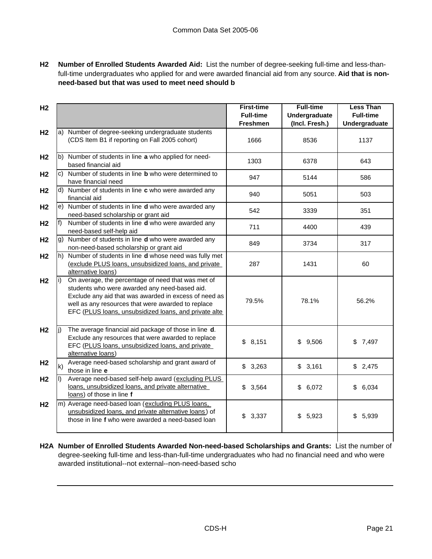**H2 Number of Enrolled Students Awarded Aid:** List the number of degree-seeking full-time and less-thanfull-time undergraduates who applied for and were awarded financial aid from any source. **Aid that is nonneed-based but that was used to meet need should b**

| H <sub>2</sub> |              |                                                                                                                                                                                                                                                                             | <b>First-time</b><br><b>Full-time</b> | <b>Full-time</b><br><b>Undergraduate</b> | <b>Less Than</b><br><b>Full-time</b> |
|----------------|--------------|-----------------------------------------------------------------------------------------------------------------------------------------------------------------------------------------------------------------------------------------------------------------------------|---------------------------------------|------------------------------------------|--------------------------------------|
|                |              |                                                                                                                                                                                                                                                                             | <b>Freshmen</b>                       | (Incl. Fresh.)                           | Undergraduate                        |
| H <sub>2</sub> |              | a) Number of degree-seeking undergraduate students<br>(CDS Item B1 if reporting on Fall 2005 cohort)                                                                                                                                                                        | 1666                                  | 8536                                     | 1137                                 |
| H <sub>2</sub> |              | b) Number of students in line a who applied for need-<br>based financial aid                                                                                                                                                                                                | 1303                                  | 6378                                     | 643                                  |
| H <sub>2</sub> |              | c) Number of students in line <b>b</b> who were determined to<br>have financial need                                                                                                                                                                                        | 947                                   | 5144                                     | 586                                  |
| H <sub>2</sub> |              | d) Number of students in line c who were awarded any<br>financial aid                                                                                                                                                                                                       | 940                                   | 5051                                     | 503                                  |
| H <sub>2</sub> |              | e) Number of students in line d who were awarded any<br>need-based scholarship or grant aid                                                                                                                                                                                 | 542                                   | 3339                                     | 351                                  |
| H <sub>2</sub> |              | f) Number of students in line $d$ who were awarded any<br>need-based self-help aid                                                                                                                                                                                          | 711                                   | 4400                                     | 439                                  |
| H <sub>2</sub> |              | g) Number of students in line <b>d</b> who were awarded any<br>non-need-based scholarship or grant aid                                                                                                                                                                      | 849                                   | 3734                                     | 317                                  |
| H <sub>2</sub> |              | h) Number of students in line d whose need was fully met<br>(exclude PLUS loans, unsubsidized loans, and private<br>alternative loans)                                                                                                                                      | 287                                   | 1431                                     | 60                                   |
| H <sub>2</sub> |              | On average, the percentage of need that was met of<br>students who were awarded any need-based aid.<br>Exclude any aid that was awarded in excess of need as<br>well as any resources that were awarded to replace<br>EFC (PLUS loans, unsubsidized loans, and private alte | 79.5%                                 | 78.1%                                    | 56.2%                                |
| H <sub>2</sub> |              | The average financial aid package of those in line d.<br>Exclude any resources that were awarded to replace<br>EFC (PLUS loans, unsubsidized loans, and private<br>alternative loans)                                                                                       | \$8,151                               | \$9,506                                  | \$7,497                              |
| H <sub>2</sub> | $\mathsf{k}$ | Average need-based scholarship and grant award of<br>those in line e                                                                                                                                                                                                        | \$3,263                               | \$3,161                                  | \$2,475                              |
| H <sub>2</sub> | I)           | Average need-based self-help award (excluding PLUS<br>loans, unsubsidized loans, and private alternative<br>loans) of those in line f                                                                                                                                       | 3,564<br>\$                           | \$6,072                                  | \$6,034                              |
| H <sub>2</sub> |              | m) Average need-based loan (excluding PLUS loans,<br>unsubsidized loans, and private alternative loans) of<br>those in line f who were awarded a need-based loan                                                                                                            | \$<br>3,337                           | \$5,923                                  | 5,939<br>\$                          |
|                |              |                                                                                                                                                                                                                                                                             |                                       |                                          |                                      |

**H2A Number of Enrolled Students Awarded Non-need-based Scholarships and Grants:** List the number of degree-seeking full-time and less-than-full-time undergraduates who had no financial need and who were awarded institutional--not external--non-need-based scho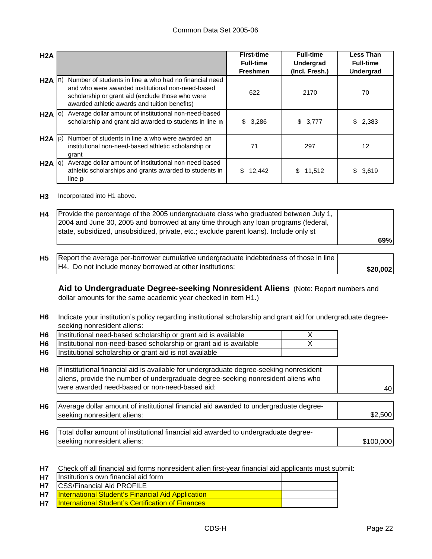| H2A               |                                                                                                                                                                                                                  | <b>First-time</b><br><b>Full-time</b><br><b>Freshmen</b> | <b>Full-time</b><br><b>Undergrad</b><br>(Incl. Fresh.) | <b>Less Than</b><br><b>Full-time</b><br><b>Undergrad</b> |
|-------------------|------------------------------------------------------------------------------------------------------------------------------------------------------------------------------------------------------------------|----------------------------------------------------------|--------------------------------------------------------|----------------------------------------------------------|
| $H2A \ln$         | Number of students in line a who had no financial need<br>and who were awarded institutional non-need-based<br>scholarship or grant aid (exclude those who were<br>awarded athletic awards and tuition benefits) | 622                                                      | 2170                                                   | 70                                                       |
| $H2A$ (0)         | Average dollar amount of institutional non-need-based<br>scholarship and grant aid awarded to students in line n                                                                                                 | \$3,286                                                  | \$3,777                                                | 2,383<br>\$                                              |
| $H2A$ $ p\rangle$ | Number of students in line a who were awarded an<br>institutional non-need-based athletic scholarship or<br>grant                                                                                                | 71                                                       | 297                                                    | 12                                                       |
| H2A  q            | Average dollar amount of institutional non-need-based<br>athletic scholarships and grants awarded to students in<br>line <b>p</b>                                                                                | 12,442<br>S.                                             | \$11,512                                               | \$3,619                                                  |

**H3** Incorporated into H1 above.

| H4        | Provide the percentage of the 2005 undergraduate class who graduated between July 1,<br>2004 and June 30, 2005 and borrowed at any time through any loan programs (federal,<br>state, subsidized, unsubsidized, private, etc.; exclude parent loans). Include only st | 69%      |
|-----------|-----------------------------------------------------------------------------------------------------------------------------------------------------------------------------------------------------------------------------------------------------------------------|----------|
| <b>H5</b> | Report the average per-borrower cumulative undergraduate indebtedness of those in line<br>H4. Do not include money borrowed at other institutions:                                                                                                                    | \$20,002 |

**Aid to Undergraduate Degree-seeking Nonresident Aliens** (Note: Report numbers and dollar amounts for the same academic year checked in item H1.)

**H6** Indicate your institution's policy regarding institutional scholarship and grant aid for undergraduate degreeseeking nonresident aliens:

| H <sub>6</sub> | Institutional need-based scholarship or grant aid is available     |  |
|----------------|--------------------------------------------------------------------|--|
| H6             | Institutional non-need-based scholarship or grant aid is available |  |
| H6             | Institutional scholarship or grant aid is not available            |  |

| H6 If institutional financial aid is available for undergraduate degree-seeking nonresident |     |
|---------------------------------------------------------------------------------------------|-----|
| aliens, provide the number of undergraduate degree-seeking nonresident aliens who           |     |
| were awarded need-based or non-need-based aid:                                              | 401 |

- **H6** \$2,500 Average dollar amount of institutional financial aid awarded to undergraduate degreeseeking nonresident aliens:
- **H6** \$100,000 Total dollar amount of institutional financial aid awarded to undergraduate degreeseeking nonresident aliens:

**H7** Check off all financial aid forms nonresident alien first-year financial aid applicants must submit:

| <b>H7</b> | Institution's own financial aid form                     |  |
|-----------|----------------------------------------------------------|--|
|           | <b>H7</b> ICSS/Financial Aid PROFILE                     |  |
| <b>H7</b> | <b>International Student's Financial Aid Application</b> |  |
| <b>H7</b> | <b>International Student's Certification of Finances</b> |  |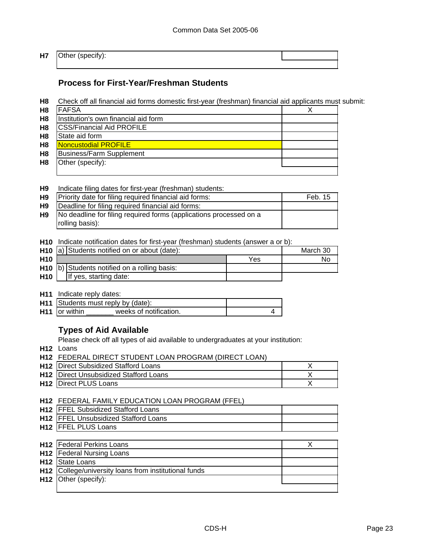#### **H7** Other (specify):

## **Process for First-Year/Freshman Students**

**H8** Check off all financial aid forms domestic first-year (freshman) financial aid applicants must submit:

| H <sub>8</sub> | <b>IFAFSA</b>                        | X |
|----------------|--------------------------------------|---|
| H <sub>8</sub> | Institution's own financial aid form |   |
| H <sub>8</sub> | <b>CSS/Financial Aid PROFILE</b>     |   |
| H <sub>8</sub> | State aid form                       |   |
| H <sub>8</sub> | Noncustodial PROFILE                 |   |
| H <sub>8</sub> | Business/Farm Supplement             |   |
| H <sub>8</sub> | Other (specify):                     |   |
|                |                                      |   |

### **H9** Indicate filing dates for first-year (freshman) students:

| H <sub>9</sub> | Priority date for filing required financial aid forms:             | Feb. 15 |
|----------------|--------------------------------------------------------------------|---------|
| H <sub>9</sub> | Deadline for filing required financial aid forms:                  |         |
| H <sub>9</sub> | No deadline for filing required forms (applications processed on a |         |
|                | rolling basis):                                                    |         |

**H10** Indicate notification dates for first-year (freshman) students (answer a or b):

|                 | H <sub>10</sub> a) Students notified on or about (date): |                                                | March 30 |    |
|-----------------|----------------------------------------------------------|------------------------------------------------|----------|----|
| H <sub>10</sub> |                                                          |                                                | Yes      | No |
|                 |                                                          | $H10$ b) Students notified on a rolling basis: |          |    |
| H <sub>10</sub> |                                                          | If yes, starting date:                         |          |    |

**H11** Indicate reply dates:

| <b>H11</b> Students must reply by (date): |                        |  |
|-------------------------------------------|------------------------|--|
| H <sub>11</sub> or within                 | weeks of notification. |  |

## **Types of Aid Available**

Please check off all types of aid available to undergraduates at your institution:

**H12** Loans

**H12** FEDERAL DIRECT STUDENT LOAN PROGRAM (DIRECT LOAN)

| <b>H12</b> Direct Subsidized Stafford Loans   |  |
|-----------------------------------------------|--|
| <b>H12</b> Direct Unsubsidized Stafford Loans |  |
| <b>H12 Direct PLUS Loans</b>                  |  |

### **H12** FEDERAL FAMILY EDUCATION LOAN PROGRAM (FFEL)

| <b>H12 IFFEL Subsidized Stafford Loans</b>   |  |
|----------------------------------------------|--|
| <b>H12 IFFEL Unsubsidized Stafford Loans</b> |  |
| <b>H12   FFEL PLUS Loans</b>                 |  |

| H12 Federal Perkins Loans                                         |  |
|-------------------------------------------------------------------|--|
| <b>H12</b>   Federal Nursing Loans                                |  |
| H <sub>12</sub> State Loans                                       |  |
| H <sub>12</sub> College/university loans from institutional funds |  |
| $H12$ Other (specify):                                            |  |
|                                                                   |  |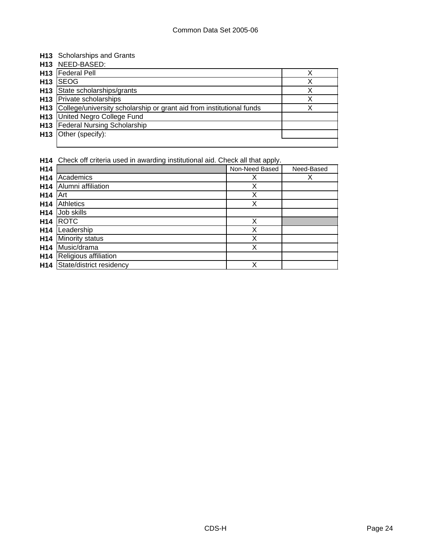### **H13** Scholarships and Grants

|                 | H13 NEED-BASED:                                                      |   |
|-----------------|----------------------------------------------------------------------|---|
| H <sub>13</sub> | <b>Federal Pell</b>                                                  |   |
| H13             | <b>SEOG</b>                                                          | Χ |
| H13             | State scholarships/grants                                            |   |
|                 | <b>H13</b> Private scholarships                                      |   |
| H13             | College/university scholarship or grant aid from institutional funds |   |
|                 | <b>H13</b> United Negro College Fund                                 |   |
|                 | H13   Federal Nursing Scholarship                                    |   |
| H13             | Other (specify):                                                     |   |
|                 |                                                                      |   |

**H14** Check off criteria used in awarding institutional aid. Check all that apply.

| H14             |                          | Non-Need Based | Need-Based |
|-----------------|--------------------------|----------------|------------|
| H <sub>14</sub> | Academics                | х              | Х          |
| H <sub>14</sub> | Alumni affiliation       | Х              |            |
| H <sub>14</sub> | Art                      | Χ              |            |
| H <sub>14</sub> | Athletics                | Χ              |            |
| H <sub>14</sub> | Job skills               |                |            |
| H <sub>14</sub> | <b>ROTC</b>              | Χ              |            |
| H <sub>14</sub> | Leadership               | Χ              |            |
| H <sub>14</sub> | Minority status          | X              |            |
| H <sub>14</sub> | Music/drama              | X              |            |
| H <sub>14</sub> | Religious affiliation    |                |            |
| H <sub>14</sub> | State/district residency | Χ              |            |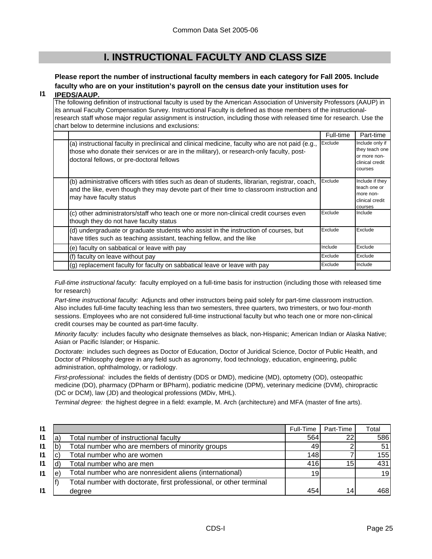# **I. INSTRUCTIONAL FACULTY AND CLASS SIZE**

## **Please report the number of instructional faculty members in each category for Fall 2005. Include faculty who are on your institution's payroll on the census date your institution uses for**

#### **I1 IPEDS/AAUP.**

The following definition of instructional faculty is used by the American Association of University Professors (AAUP) in its annual Faculty Compensation Survey. Instructional Faculty is defined as those members of the instructionalresearch staff whose major regular assignment is instruction, including those with released time for research. Use the chart below to determine inclusions and exclusions:

|                                                                                                                                                                                                                                          | Full-time | Part-time                                                                       |
|------------------------------------------------------------------------------------------------------------------------------------------------------------------------------------------------------------------------------------------|-----------|---------------------------------------------------------------------------------|
| (a) instructional faculty in preclinical and clinical medicine, faculty who are not paid (e.g.,<br>those who donate their services or are in the military), or research-only faculty, post-<br>doctoral fellows, or pre-doctoral fellows | Exclude   | Include only if<br>they teach one<br>or more non-<br>clinical credit<br>courses |
| (b) administrative officers with titles such as dean of students, librarian, registrar, coach,<br>and the like, even though they may devote part of their time to classroom instruction and<br>may have faculty status                   | Exclude   | Include if they<br>teach one or<br>more non-<br>clinical credit<br>courses      |
| (c) other administrators/staff who teach one or more non-clinical credit courses even<br>though they do not have faculty status                                                                                                          | Exclude   | Include                                                                         |
| (d) undergraduate or graduate students who assist in the instruction of courses, but<br>have titles such as teaching assistant, teaching fellow, and the like                                                                            | Exclude   | Exclude                                                                         |
| (e) faculty on sabbatical or leave with pay                                                                                                                                                                                              | Include   | Exclude                                                                         |
| (f) faculty on leave without pay                                                                                                                                                                                                         | Exclude   | Exclude                                                                         |
| (g) replacement faculty for faculty on sabbatical leave or leave with pay                                                                                                                                                                | Exclude   | Include                                                                         |

*Full-time instructional faculty:* faculty employed on a full-time basis for instruction (including those with released time for research)

*Part-time instructional faculty:* Adjuncts and other instructors being paid solely for part-time classroom instruction. Also includes full-time faculty teaching less than two semesters, three quarters, two trimesters, or two four-month sessions. Employees who are not considered full-time instructional faculty but who teach one or more non-clinical credit courses may be counted as part-time faculty.

*Minority faculty:* includes faculty who designate themselves as black, non-Hispanic; American Indian or Alaska Native; Asian or Pacific Islander; or Hispanic.

*Doctorate:* includes such degrees as Doctor of Education, Doctor of Juridical Science, Doctor of Public Health, and Doctor of Philosophy degree in any field such as agronomy, food technology, education, engineering, public administration, ophthalmology, or radiology.

*First-professional:* includes the fields of dentistry (DDS or DMD), medicine (MD), optometry (OD), osteopathic medicine (DO), pharmacy (DPharm or BPharm), podiatric medicine (DPM), veterinary medicine (DVM), chiropractic (DC or DCM), law (JD) and theological professions (MDiv, MHL).

*Terminal degree:* the highest degree in a field: example, M. Arch (architecture) and MFA (master of fine arts).

| $\mathsf{I}$ |   |                                                                    | Full-Time | Part-Time | Total |
|--------------|---|--------------------------------------------------------------------|-----------|-----------|-------|
| $\mathsf{I}$ | a | Total number of instructional faculty                              | 564       | 22        | 586   |
| 11           |   | Total number who are members of minority groups                    | 49)       |           | 51    |
| $\mathsf{I}$ |   | Total number who are women                                         | 148       |           | 155   |
| 11           |   | Total number who are men                                           | 416       | 15        | 431   |
| $\mathsf{I}$ | e | Total number who are nonresident aliens (international)            | 19        |           | 19    |
|              |   | Total number with doctorate, first professional, or other terminal |           |           |       |
| $\mathsf{I}$ |   | degree                                                             | 454       | 14        | 468   |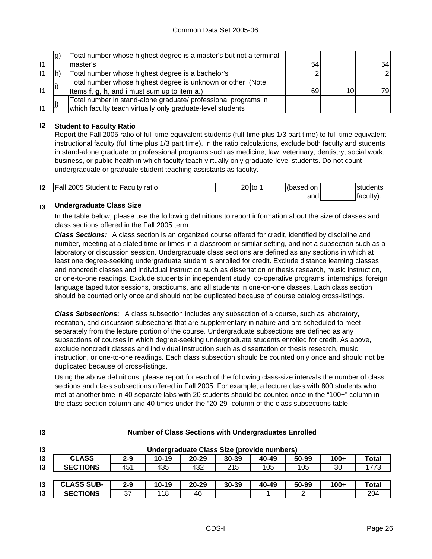|              | lg) | Total number whose highest degree is a master's but not a terminal |    |    |     |
|--------------|-----|--------------------------------------------------------------------|----|----|-----|
| $\mathbf{I}$ |     | master's                                                           | 54 |    | 54  |
| $\mathsf{I}$ |     | Total number whose highest degree is a bachelor's                  |    |    |     |
|              |     | Total number whose highest degree is unknown or other (Note:       |    |    |     |
| $\mathbf{I}$ |     | Items f, g, h, and i must sum up to item a.)                       | 69 | 10 | 79I |
|              |     | Total number in stand-alone graduate/ professional programs in     |    |    |     |
| $\mathbf{I}$ |     | which faculty teach virtually only graduate-level students         |    |    |     |

### **I2 Student to Faculty Ratio**

Report the Fall 2005 ratio of full-time equivalent students (full-time plus 1/3 part time) to full-time equivalent instructional faculty (full time plus 1/3 part time). In the ratio calculations, exclude both faculty and students in stand-alone graduate or professional programs such as medicine, law, veterinary, dentistry, social work, business, or public health in which faculty teach virtually only graduate-level students. Do not count undergraduate or graduate student teaching assistants as faculty.

| 12 | <b>Fall 2005</b><br>Student to Faculty ratio | $20$ to | (based<br>on | students   |
|----|----------------------------------------------|---------|--------------|------------|
|    |                                              |         | and          | Itaculty). |

#### **I3 Undergraduate Class Size**

**I3**

In the table below, please use the following definitions to report information about the size of classes and class sections offered in the Fall 2005 term.

*Class Sections:* A class section is an organized course offered for credit, identified by discipline and number, meeting at a stated time or times in a classroom or similar setting, and not a subsection such as a laboratory or discussion session. Undergraduate class sections are defined as any sections in which at least one degree-seeking undergraduate student is enrolled for credit. Exclude distance learning classes and noncredit classes and individual instruction such as dissertation or thesis research, music instruction, or one-to-one readings. Exclude students in independent study, co-operative programs, internships, foreign language taped tutor sessions, practicums, and all students in one-on-one classes. Each class section should be counted only once and should not be duplicated because of course catalog cross-listings.

*Class Subsections:* A class subsection includes any subsection of a course, such as laboratory, recitation, and discussion subsections that are supplementary in nature and are scheduled to meet separately from the lecture portion of the course. Undergraduate subsections are defined as any subsections of courses in which degree-seeking undergraduate students enrolled for credit. As above, exclude noncredit classes and individual instruction such as dissertation or thesis research, music instruction, or one-to-one readings. Each class subsection should be counted only once and should not be duplicated because of cross-listings.

Using the above definitions, please report for each of the following class-size intervals the number of class sections and class subsections offered in Fall 2005. For example, a lecture class with 800 students who met at another time in 40 separate labs with 20 students should be counted once in the "100+" column in the class section column and 40 times under the "20-29" column of the class subsections table.

| 13             | Undergraduate Class Size (provide numbers) |         |           |           |           |       |       |        |              |
|----------------|--------------------------------------------|---------|-----------|-----------|-----------|-------|-------|--------|--------------|
| 13             | <b>CLASS</b>                               | $2 - 9$ | $10 - 19$ | 20-29     | $30 - 39$ | 40-49 | 50-99 | $100+$ | <b>Total</b> |
| $\overline{3}$ | <b>SECTIONS</b>                            | 451     | 435       | 432       | 215       | 105   | 105   | 30     | 1773         |
|                |                                            |         |           |           |           |       |       |        |              |
| 13             | <b>CLASS SUB-</b>                          | $2 - 9$ | $10 - 19$ | $20 - 29$ | 30-39     | 40-49 | 50-99 | $100+$ | <b>Total</b> |
| $\mathsf{I}3$  | <b>SECTIONS</b>                            | 37      | 118       | 46        |           |       | າ     |        | 204          |

### **Number of Class Sections with Undergraduates Enrolled**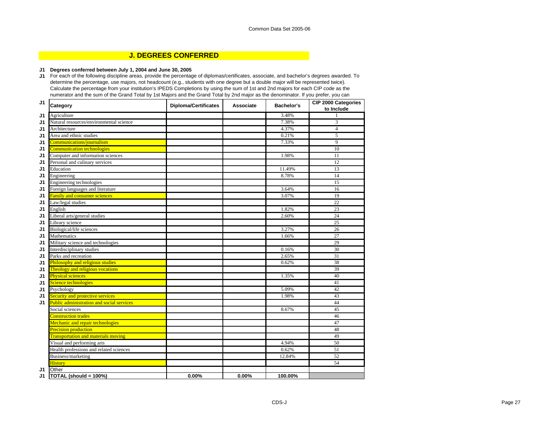### **J. DEGREES CONFERRED**

#### **J1 Degrees conferred between July 1, 2004 and June 30, 2005**

**J1** For each of the following discipline areas, provide the percentage of diplomas/certificates, associate, and bachelor's degrees awarded. To determine the percentage, use majors, not headcount (e.g., students with one degree but a double major will be represented twice). Calculate the percentage from your institution's IPEDS Completions by using the sum of 1st and 2nd majors for each CIP code as the numerator and the sum of the Grand Total by 1st Majors and the Grand Total by 2nd major as the denominator. If you prefer, you can

| J1             | Category                                         | <b>Diploma/Certificates</b> | Associate | Bachelor's | <b>CIP 2000 Categories</b><br>to Include |
|----------------|--------------------------------------------------|-----------------------------|-----------|------------|------------------------------------------|
| J1             | Agriculture                                      |                             |           | 3.48%      |                                          |
| J <sub>1</sub> | Natural resources/environmental science          |                             |           | 7.38%      | 3                                        |
| J1             | Architecture                                     |                             |           | 4.37%      | $\overline{4}$                           |
| J <sub>1</sub> | Area and ethnic studies                          |                             |           | 0.21%      | 5                                        |
| J1             | Communications/journalism                        |                             |           | 7.33%      | 9                                        |
| J <sub>1</sub> | <b>Communication technologies</b>                |                             |           |            | 10                                       |
| J1             | Computer and information sciences                |                             |           | 1.98%      | 11                                       |
| J1             | Personal and culinary services                   |                             |           |            | 12                                       |
| J1             | Education                                        |                             |           | 11.49%     | $\overline{13}$                          |
| J <sub>1</sub> | Engineering                                      |                             |           | 8.78%      | 14                                       |
| J1             | Engineering technologies                         |                             |           |            | 15                                       |
| J <sub>1</sub> | Foreign languages and literature                 |                             |           | 3.64%      | 16                                       |
| J1             | <b>Family and consumer sciences</b>              |                             |           | 3.07%      | 19                                       |
| J1             | Law/legal studies                                |                             |           |            | 22                                       |
| J <sub>1</sub> | English                                          |                             |           | 1.82%      | 23                                       |
| J1             | Liberal arts/general studies                     |                             |           | 2.60%      | 24                                       |
| J1             | Library science                                  |                             |           |            | 25                                       |
| J1             | Biological/life sciences                         |                             |           | 3.27%      | 26                                       |
| J1             | Mathematics                                      |                             |           | 1.66%      | 27                                       |
| J1             | Military science and technologies                |                             |           |            | 29                                       |
| J <sub>1</sub> | Interdisciplinary studies                        |                             |           | 0.16%      | $\overline{30}$                          |
| J1             | Parks and recreation                             |                             |           | 2.65%      | 31                                       |
| J1             | Philosophy and religious studies                 |                             |           | 0.62%      | 38                                       |
| J1             | Theology and religious vocations                 |                             |           |            | 39                                       |
| J <sub>1</sub> | <b>Physical sciences</b>                         |                             |           | 1.35%      | 40                                       |
| J1             | Science technologies                             |                             |           |            | 41                                       |
| J1             | Psychology                                       |                             |           | 5.09%      | 42                                       |
| J1             | Security and protective services                 |                             |           | 1.98%      | 43                                       |
| J1             | <b>Public administration and social services</b> |                             |           |            | 44                                       |
|                | Social sciences                                  |                             |           | 8.67%      | 45                                       |
|                | <b>Construction trades</b>                       |                             |           |            | 46                                       |
|                | Mechanic and repair technologies                 |                             |           |            | 47                                       |
|                | <b>Precision production</b>                      |                             |           |            | 48                                       |
|                | <b>Transportation and materials moving</b>       |                             |           |            | 49                                       |
|                | Visual and performing arts                       |                             |           | 4.94%      | 50                                       |
|                | Health professions and related sciences          |                             |           | 0.62%      | $\overline{51}$                          |
|                | Business/marketing                               |                             |           | 12.84%     | 52                                       |
|                | <b>History</b>                                   |                             |           |            | 54                                       |
| J1             | Other                                            |                             |           |            |                                          |
| J1             | TOTAL (should = 100%)                            | 0.00%                       | 0.00%     | 100.00%    |                                          |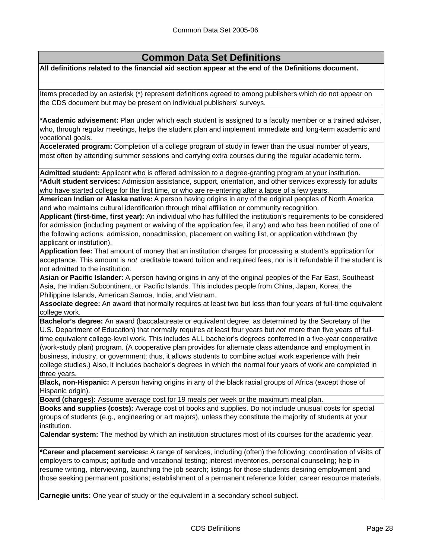# **Common Data Set Definitions**

**All definitions related to the financial aid section appear at the end of the Definitions document.**

Items preceded by an asterisk (\*) represent definitions agreed to among publishers which do not appear on the CDS document but may be present on individual publishers' surveys.

**\*Academic advisement:** Plan under which each student is assigned to a faculty member or a trained adviser, who, through regular meetings, helps the student plan and implement immediate and long-term academic and vocational goals.

**Accelerated program:** Completion of a college program of study in fewer than the usual number of years, most often by attending summer sessions and carrying extra courses during the regular academic term**.**

**Admitted student:** Applicant who is offered admission to a degree-granting program at your institution.

**\*Adult student services:** Admission assistance, support, orientation, and other services expressly for adults who have started college for the first time, or who are re-entering after a lapse of a few years.

**American Indian or Alaska native:** A person having origins in any of the original peoples of North America and who maintains cultural identification through tribal affiliation or community recognition.

**Applicant (first-time, first year):** An individual who has fulfilled the institution's requirements to be considered for admission (including payment or waiving of the application fee, if any) and who has been notified of one of the following actions: admission, nonadmission, placement on waiting list, or application withdrawn (by applicant or institution).

**Application fee:** That amount of money that an institution charges for processing a student's application for acceptance. This amount is *not* creditable toward tuition and required fees, nor is it refundable if the student is not admitted to the institution.

**Asian or Pacific Islander:** A person having origins in any of the original peoples of the Far East, Southeast Asia, the Indian Subcontinent, or Pacific Islands. This includes people from China, Japan, Korea, the Philippine Islands, American Samoa, India, and Vietnam.

**Associate degree:** An award that normally requires at least two but less than four years of full-time equivalent college work.

**Bachelor's degree:** An award (baccalaureate or equivalent degree, as determined by the Secretary of the U.S. Department of Education) that normally requires at least four years but *not* more than five years of fulltime equivalent college-level work. This includes ALL bachelor's degrees conferred in a five-year cooperative (work-study plan) program. (A cooperative plan provides for alternate class attendance and employment in business, industry, or government; thus, it allows students to combine actual work experience with their college studies.) Also, it includes bachelor's degrees in which the normal four years of work are completed in three years.

**Black, non-Hispanic:** A person having origins in any of the black racial groups of Africa (except those of Hispanic origin).

**Board (charges):** Assume average cost for 19 meals per week or the maximum meal plan.

**Books and supplies (costs):** Average cost of books and supplies. Do not include unusual costs for special groups of students (e.g., engineering or art majors), unless they constitute the majority of students at your institution.

**Calendar system:** The method by which an institution structures most of its courses for the academic year.

**\*Career and placement services:** A range of services, including (often) the following: coordination of visits of employers to campus; aptitude and vocational testing; interest inventories, personal counseling; help in resume writing, interviewing, launching the job search; listings for those students desiring employment and those seeking permanent positions; establishment of a permanent reference folder; career resource materials.

**Carnegie units:** One year of study or the equivalent in a secondary school subject.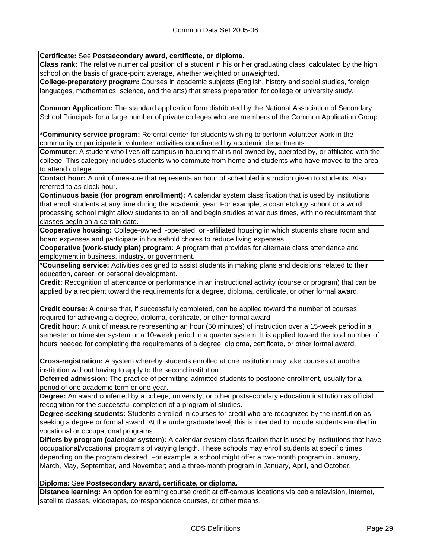**Certificate:** See **Postsecondary award, certificate, or diploma.**

**Class rank:** The relative numerical position of a student in his or her graduating class, calculated by the high school on the basis of grade-point average, whether weighted or unweighted.

**College-preparatory program:** Courses in academic subjects (English, history and social studies, foreign languages, mathematics, science, and the arts) that stress preparation for college or university study.

**Common Application:** The standard application form distributed by the National Association of Secondary School Principals for a large number of private colleges who are members of the Common Application Group.

**\*Community service program:** Referral center for students wishing to perform volunteer work in the community or participate in volunteer activities coordinated by academic departments.

**Commuter:** A student who lives off campus in housing that is not owned by, operated by, or affiliated with the college. This category includes students who commute from home and students who have moved to the area to attend college.

**Contact hour:** A unit of measure that represents an hour of scheduled instruction given to students. Also referred to as clock hour.

**Continuous basis (for program enrollment):** A calendar system classification that is used by institutions that enroll students at any time during the academic year. For example, a cosmetology school or a word processing school might allow students to enroll and begin studies at various times, with no requirement that classes begin on a certain date.

**Cooperative housing:** College-owned, -operated, or -affiliated housing in which students share room and board expenses and participate in household chores to reduce living expenses.

**Cooperative (work-study plan) program:** A program that provides for alternate class attendance and employment in business, industry, or government.

**\*Counseling service:** Activities designed to assist students in making plans and decisions related to their education, career, or personal development.

**Credit:** Recognition of attendance or performance in an instructional activity (course or program) that can be applied by a recipient toward the requirements for a degree, diploma, certificate, or other formal award.

**Credit course:** A course that, if successfully completed, can be applied toward the number of courses required for achieving a degree, diploma, certificate, or other formal award.

**Credit hour:** A unit of measure representing an hour (50 minutes) of instruction over a 15-week period in a semester or trimester system or a 10-week period in a quarter system. It is applied toward the total number of hours needed for completing the requirements of a degree, diploma, certificate, or other formal award.

**Cross-registration:** A system whereby students enrolled at one institution may take courses at another institution without having to apply to the second institution.

**Deferred admission:** The practice of permitting admitted students to postpone enrollment, usually for a period of one academic term or one year.

**Degree:** An award conferred by a college, university, or other postsecondary education institution as official recognition for the successful completion of a program of studies.

**Degree-seeking students:** Students enrolled in courses for credit who are recognized by the institution as seeking a degree or formal award. At the undergraduate level, this is intended to include students enrolled in vocational or occupational programs.

**Differs by program (calendar system):** A calendar system classification that is used by institutions that have occupational/vocational programs of varying length. These schools may enroll students at specific times depending on the program desired. For example, a school might offer a two-month program in January, March, May, September, and November; and a three-month program in January, April, and October.

## **Diploma:** See **Postsecondary award, certificate, or diploma.**

**Distance learning:** An option for earning course credit at off-campus locations via cable television, internet, satellite classes, videotapes, correspondence courses, or other means.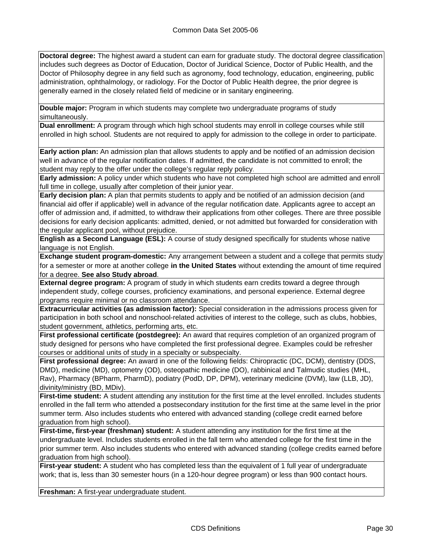**Doctoral degree:** The highest award a student can earn for graduate study. The doctoral degree classification includes such degrees as Doctor of Education, Doctor of Juridical Science, Doctor of Public Health, and the Doctor of Philosophy degree in any field such as agronomy, food technology, education, engineering, public administration, ophthalmology, or radiology. For the Doctor of Public Health degree, the prior degree is generally earned in the closely related field of medicine or in sanitary engineering.

**Double major:** Program in which students may complete two undergraduate programs of study simultaneously.

**Dual enrollment:** A program through which high school students may enroll in college courses while still enrolled in high school. Students are not required to apply for admission to the college in order to participate.

**Early action plan:** An admission plan that allows students to apply and be notified of an admission decision well in advance of the regular notification dates. If admitted, the candidate is not committed to enroll; the student may reply to the offer under the college's regular reply policy.

**Early admission:** A policy under which students who have not completed high school are admitted and enroll full time in college, usually after completion of their junior year.

**Early decision plan:** A plan that permits students to apply and be notified of an admission decision (and financial aid offer if applicable) well in advance of the regular notification date. Applicants agree to accept an offer of admission and, if admitted, to withdraw their applications from other colleges. There are three possible decisions for early decision applicants: admitted, denied, or not admitted but forwarded for consideration with the regular applicant pool, without prejudice.

**English as a Second Language (ESL):** A course of study designed specifically for students whose native language is not English.

**Exchange student program-domestic:** Any arrangement between a student and a college that permits study for a semester or more at another college **in the United States** without extending the amount of time required for a degree. **See also Study abroad**.

**External degree program:** A program of study in which students earn credits toward a degree through independent study, college courses, proficiency examinations, and personal experience. External degree programs require minimal or no classroom attendance.

**Extracurricular activities (as admission factor):** Special consideration in the admissions process given for participation in both school and nonschool-related activities of interest to the college, such as clubs, hobbies, student government, athletics, performing arts, etc.

**First professional certificate (postdegree):** An award that requires completion of an organized program of study designed for persons who have completed the first professional degree. Examples could be refresher courses or additional units of study in a specialty or subspecialty.

**First professional degree:** An award in one of the following fields: Chiropractic (DC, DCM), dentistry (DDS, DMD), medicine (MD), optometry (OD), osteopathic medicine (DO), rabbinical and Talmudic studies (MHL, Rav), Pharmacy (BPharm, PharmD), podiatry (PodD, DP, DPM), veterinary medicine (DVM), law (LLB, JD), divinity/ministry (BD, MDiv).

**First-time student:** A student attending any institution for the first time at the level enrolled. Includes students enrolled in the fall term who attended a postsecondary institution for the first time at the same level in the prior summer term. Also includes students who entered with advanced standing (college credit earned before graduation from high school).

**First-time, first-year (freshman) student:** A student attending any institution for the first time at the undergraduate level. Includes students enrolled in the fall term who attended college for the first time in the prior summer term. Also includes students who entered with advanced standing (college credits earned before graduation from high school).

**First-year student:** A student who has completed less than the equivalent of 1 full year of undergraduate work; that is, less than 30 semester hours (in a 120-hour degree program) or less than 900 contact hours.

**Freshman:** A first-year undergraduate student.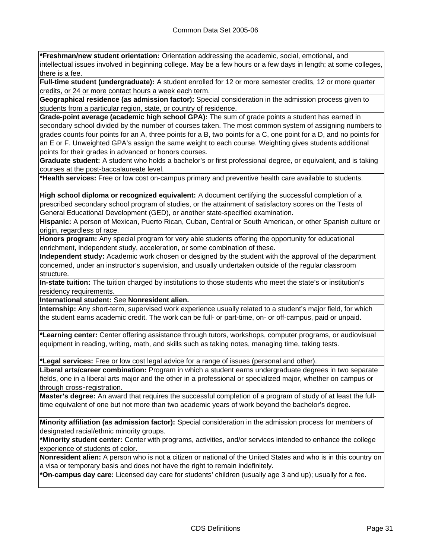**\*Freshman/new student orientation:** Orientation addressing the academic, social, emotional, and intellectual issues involved in beginning college. May be a few hours or a few days in length; at some colleges, there is a fee.

**Full-time student (undergraduate):** A student enrolled for 12 or more semester credits, 12 or more quarter credits, or 24 or more contact hours a week each term.

**Geographical residence (as admission factor):** Special consideration in the admission process given to students from a particular region, state, or country of residence.

**Grade-point average (academic high school GPA):** The sum of grade points a student has earned in secondary school divided by the number of courses taken. The most common system of assigning numbers to grades counts four points for an A, three points for a B, two points for a C, one point for a D, and no points for an E or F. Unweighted GPA's assign the same weight to each course. Weighting gives students additional points for their grades in advanced or honors courses.

**Graduate student:** A student who holds a bachelor's or first professional degree, or equivalent, and is taking courses at the post-baccalaureate level.

**\*Health services:** Free or low cost on-campus primary and preventive health care available to students.

**High school diploma or recognized equivalent:** A document certifying the successful completion of a prescribed secondary school program of studies, or the attainment of satisfactory scores on the Tests of General Educational Development (GED), or another state-specified examination.

**Hispanic:** A person of Mexican, Puerto Rican, Cuban, Central or South American, or other Spanish culture or origin, regardless of race.

**Honors program:** Any special program for very able students offering the opportunity for educational enrichment, independent study, acceleration, or some combination of these.

**Independent study:** Academic work chosen or designed by the student with the approval of the department concerned, under an instructor's supervision, and usually undertaken outside of the regular classroom structure.

**In-state tuition:** The tuition charged by institutions to those students who meet the state's or institution's residency requirements.

**International student:** See **Nonresident alien.**

**Internship:** Any short-term, supervised work experience usually related to a student's major field, for which the student earns academic credit. The work can be full- or part-time, on- or off-campus, paid or unpaid.

**\*Learning center:** Center offering assistance through tutors, workshops, computer programs, or audiovisual equipment in reading, writing, math, and skills such as taking notes, managing time, taking tests.

**\*Legal services:** Free or low cost legal advice for a range of issues (personal and other).

**Liberal arts/career combination:** Program in which a student earns undergraduate degrees in two separate fields, one in a liberal arts major and the other in a professional or specialized major, whether on campus or through cross‑registration.

**Master's degree:** An award that requires the successful completion of a program of study of at least the fulltime equivalent of one but not more than two academic years of work beyond the bachelor's degree.

**Minority affiliation (as admission factor):** Special consideration in the admission process for members of designated racial/ethnic minority groups.

**\*Minority student center:** Center with programs, activities, and/or services intended to enhance the college experience of students of color.

**Nonresident alien:** A person who is not a citizen or national of the United States and who is in this country on a visa or temporary basis and does not have the right to remain indefinitely.

**\*On-campus day care:** Licensed day care for students' children (usually age 3 and up); usually for a fee.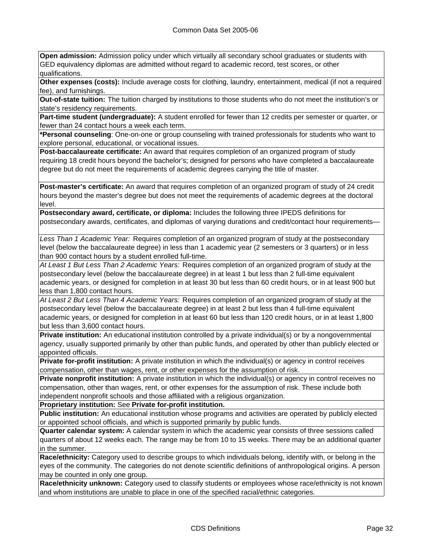**Open admission:** Admission policy under which virtually all secondary school graduates or students with GED equivalency diplomas are admitted without regard to academic record, test scores, or other qualifications.

**Other expenses (costs):** Include average costs for clothing, laundry, entertainment, medical (if not a required fee), and furnishings.

**Out-of-state tuition:** The tuition charged by institutions to those students who do not meet the institution's or state's residency requirements.

**Part-time student (undergraduate):** A student enrolled for fewer than 12 credits per semester or quarter, or fewer than 24 contact hours a week each term.

**\*Personal counseling**: One-on-one or group counseling with trained professionals for students who want to explore personal, educational, or vocational issues.

**Post-baccalaureate certificate:** An award that requires completion of an organized program of study requiring 18 credit hours beyond the bachelor's; designed for persons who have completed a baccalaureate degree but do not meet the requirements of academic degrees carrying the title of master.

**Post-master's certificate:** An award that requires completion of an organized program of study of 24 credit hours beyond the master's degree but does not meet the requirements of academic degrees at the doctoral level.

**Postsecondary award, certificate, or diploma:** Includes the following three IPEDS definitions for postsecondary awards, certificates, and diplomas of varying durations and credit/contact hour requirements—

*Less Than 1 Academic Year:* Requires completion of an organized program of study at the postsecondary level (below the baccalaureate degree) in less than 1 academic year (2 semesters or 3 quarters) or in less than 900 contact hours by a student enrolled full-time.

*At Least 1 But Less Than 2 Academic Years:* Requires completion of an organized program of study at the postsecondary level (below the baccalaureate degree) in at least 1 but less than 2 full-time equivalent academic years, or designed for completion in at least 30 but less than 60 credit hours, or in at least 900 but less than 1,800 contact hours.

*At Least 2 But Less Than 4 Academic Years:* Requires completion of an organized program of study at the postsecondary level (below the baccalaureate degree) in at least 2 but less than 4 full-time equivalent academic years, or designed for completion in at least 60 but less than 120 credit hours, or in at least 1,800 but less than 3,600 contact hours.

**Private institution:** An educational institution controlled by a private individual(s) or by a nongovernmental agency, usually supported primarily by other than public funds, and operated by other than publicly elected or appointed officials.

**Private for-profit institution:** A private institution in which the individual(s) or agency in control receives compensation, other than wages, rent, or other expenses for the assumption of risk.

**Private nonprofit institution:** A private institution in which the individual(s) or agency in control receives no compensation, other than wages, rent, or other expenses for the assumption of risk. These include both independent nonprofit schools and those affiliated with a religious organization.

**Proprietary institution:** See **Private for-profit institution.**

**Public institution:** An educational institution whose programs and activities are operated by publicly elected or appointed school officials, and which is supported primarily by public funds.

**Quarter calendar system:** A calendar system in which the academic year consists of three sessions called quarters of about 12 weeks each. The range may be from 10 to 15 weeks. There may be an additional quarter in the summer.

**Race/ethnicity:** Category used to describe groups to which individuals belong, identify with, or belong in the eyes of the community. The categories do not denote scientific definitions of anthropological origins. A person may be counted in only one group.

**Race/ethnicity unknown:** Category used to classify students or employees whose race/ethnicity is not known and whom institutions are unable to place in one of the specified racial/ethnic categories.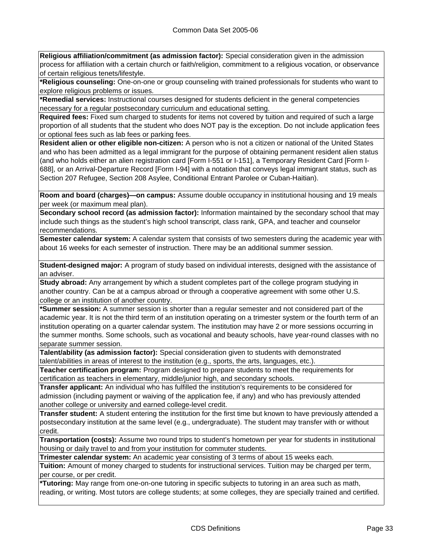**Religious affiliation/commitment (as admission factor):** Special consideration given in the admission process for affiliation with a certain church or faith/religion, commitment to a religious vocation, or observance of certain religious tenets/lifestyle.

**\*Religious counseling:** One-on-one or group counseling with trained professionals for students who want to explore religious problems or issues.

**\*Remedial services:** Instructional courses designed for students deficient in the general competencies necessary for a regular postsecondary curriculum and educational setting.

**Required fees:** Fixed sum charged to students for items not covered by tuition and required of such a large proportion of all students that the student who does NOT pay is the exception. Do not include application fees or optional fees such as lab fees or parking fees.

**Resident alien or other eligible non-citizen:** A person who is not a citizen or national of the United States and who has been admitted as a legal immigrant for the purpose of obtaining permanent resident alien status (and who holds either an alien registration card [Form I-551 or I-151], a Temporary Resident Card [Form I-688], or an Arrival-Departure Record [Form I-94] with a notation that conveys legal immigrant status, such as Section 207 Refugee, Section 208 Asylee, Conditional Entrant Parolee or Cuban-Haitian).

**Room and board (charges)—on campus:** Assume double occupancy in institutional housing and 19 meals per week (or maximum meal plan).

**Secondary school record (as admission factor):** Information maintained by the secondary school that may include such things as the student's high school transcript, class rank, GPA, and teacher and counselor recommendations.

**Semester calendar system:** A calendar system that consists of two semesters during the academic year with about 16 weeks for each semester of instruction. There may be an additional summer session.

**Student-designed major:** A program of study based on individual interests, designed with the assistance of an adviser.

**Study abroad:** Any arrangement by which a student completes part of the college program studying in another country. Can be at a campus abroad or through a cooperative agreement with some other U.S. college or an institution of another country.

**\*Summer session:** A summer session is shorter than a regular semester and not considered part of the academic year. It is not the third term of an institution operating on a trimester system or the fourth term of an institution operating on a quarter calendar system. The institution may have 2 or more sessions occurring in the summer months. Some schools, such as vocational and beauty schools, have year-round classes with no separate summer session.

**Talent/ability (as admission factor):** Special consideration given to students with demonstrated talent/abilities in areas of interest to the institution (e.g., sports, the arts, languages, etc.).

**Teacher certification program:** Program designed to prepare students to meet the requirements for certification as teachers in elementary, middle/junior high, and secondary schools.

**Transfer applicant:** An individual who has fulfilled the institution's requirements to be considered for admission (including payment or waiving of the application fee, if any) and who has previously attended another college or university and earned college-level credit.

**Transfer student:** A student entering the institution for the first time but known to have previously attended a postsecondary institution at the same level (e.g., undergraduate). The student may transfer with or without credit.

**Transportation (costs):** Assume two round trips to student's hometown per year for students in institutional housing or daily travel to and from your institution for commuter students.

**Trimester calendar system:** An academic year consisting of 3 terms of about 15 weeks each.

**Tuition:** Amount of money charged to students for instructional services. Tuition may be charged per term, per course, or per credit.

**\*Tutoring:** May range from one-on-one tutoring in specific subjects to tutoring in an area such as math, reading, or writing. Most tutors are college students; at some colleges, they are specially trained and certified.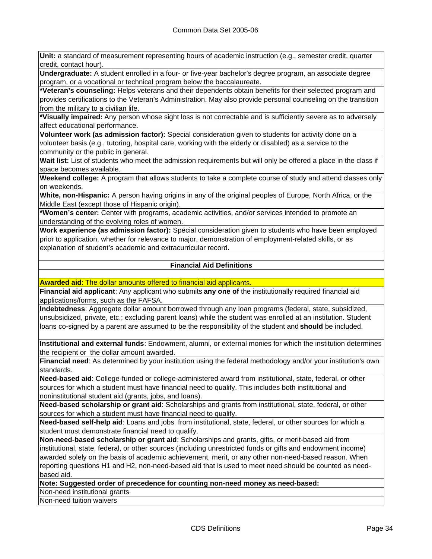**Unit:** a standard of measurement representing hours of academic instruction (e.g., semester credit, quarter credit, contact hour).

**Undergraduate:** A student enrolled in a four- or five-year bachelor's degree program, an associate degree program, or a vocational or technical program below the baccalaureate.

**\*Veteran's counseling:** Helps veterans and their dependents obtain benefits for their selected program and provides certifications to the Veteran's Administration. May also provide personal counseling on the transition from the military to a civilian life.

**\*Visually impaired:** Any person whose sight loss is not correctable and is sufficiently severe as to adversely affect educational performance.

**Volunteer work (as admission factor):** Special consideration given to students for activity done on a volunteer basis (e.g., tutoring, hospital care, working with the elderly or disabled) as a service to the community or the public in general.

**Wait list:** List of students who meet the admission requirements but will only be offered a place in the class if space becomes available.

**Weekend college:** A program that allows students to take a complete course of study and attend classes only on weekends.

**White, non-Hispanic:** A person having origins in any of the original peoples of Europe, North Africa, or the Middle East (except those of Hispanic origin).

**\*Women's center:** Center with programs, academic activities, and/or services intended to promote an understanding of the evolving roles of women.

**Work experience (as admission factor):** Special consideration given to students who have been employed prior to application, whether for relevance to major, demonstration of employment-related skills, or as explanation of student's academic and extracurricular record.

## **Financial Aid Definitions**

**Awarded aid**: The dollar amounts offered to financial aid applicants.

**Financial aid applicant**: Any applicant who submits **any one of** the institutionally required financial aid applications/forms, such as the FAFSA.

**Indebtedness**: Aggregate dollar amount borrowed through any loan programs (federal, state, subsidized, unsubsidized, private, etc.; excluding parent loans) while the student was enrolled at an institution. Student loans co-signed by a parent are assumed to be the responsibility of the student and **should** be included.

**Institutional and external funds**: Endowment, alumni, or external monies for which the institution determines the recipient or the dollar amount awarded.

**Financial need**: As determined by your institution using the federal methodology and/or your institution's own standards.

**Need-based aid**: College-funded or college-administered award from institutional, state, federal, or other sources for which a student must have financial need to qualify. This includes both institutional and noninstitutional student aid (grants, jobs, and loans).

**Need-based scholarship or grant aid**: Scholarships and grants from institutional, state, federal, or other sources for which a student must have financial need to qualify.

**Need-based self-help aid**: Loans and jobs from institutional, state, federal, or other sources for which a student must demonstrate financial need to qualify.

**Non-need-based scholarship or grant aid**: Scholarships and grants, gifts, or merit-based aid from institutional, state, federal, or other sources (including unrestricted funds or gifts and endowment income) awarded solely on the basis of academic achievement, merit, or any other non-need-based reason. When reporting questions H1 and H2, non-need-based aid that is used to meet need should be counted as needbased aid.

**Note: Suggested order of precedence for counting non-need money as need-based:**

Non-need institutional grants

Non-need tuition waivers